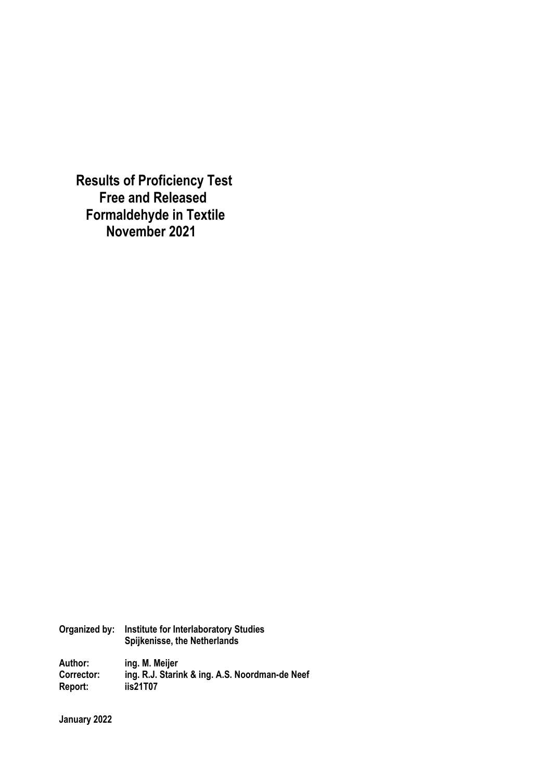**Results of Proficiency Test Free and Released Formaldehyde in Textile November 2021**

**Organized by: Institute for Interlaboratory Studies Spijkenisse, the Netherlands** 

**Author: ing. M. Meijer Corrector: ing. R.J. Starink & ing. A.S. Noordman-de Neef Report: iis21T07** 

**January 2022**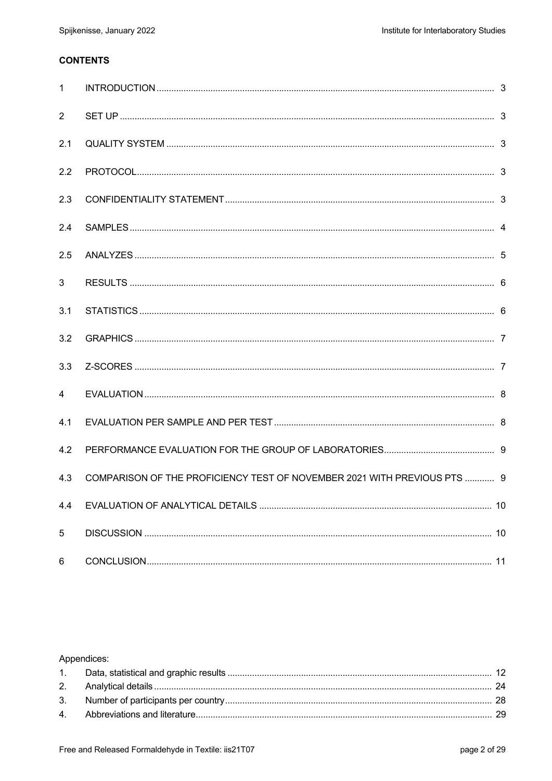## **CONTENTS**

| $\mathbf{1}$   |                                                                          |  |
|----------------|--------------------------------------------------------------------------|--|
| $\overline{2}$ |                                                                          |  |
| 2.1            |                                                                          |  |
| 2.2            |                                                                          |  |
| 2.3            |                                                                          |  |
| 2.4            |                                                                          |  |
| 2.5            |                                                                          |  |
| 3              |                                                                          |  |
| 3.1            |                                                                          |  |
| 3.2            |                                                                          |  |
| 3.3            |                                                                          |  |
| 4              |                                                                          |  |
| 4.1            |                                                                          |  |
| 4.2            |                                                                          |  |
| 4.3            | COMPARISON OF THE PROFICIENCY TEST OF NOVEMBER 2021 WITH PREVIOUS PTS  9 |  |
| 4.4            |                                                                          |  |
| 5              |                                                                          |  |
| 6              |                                                                          |  |

## Appendices: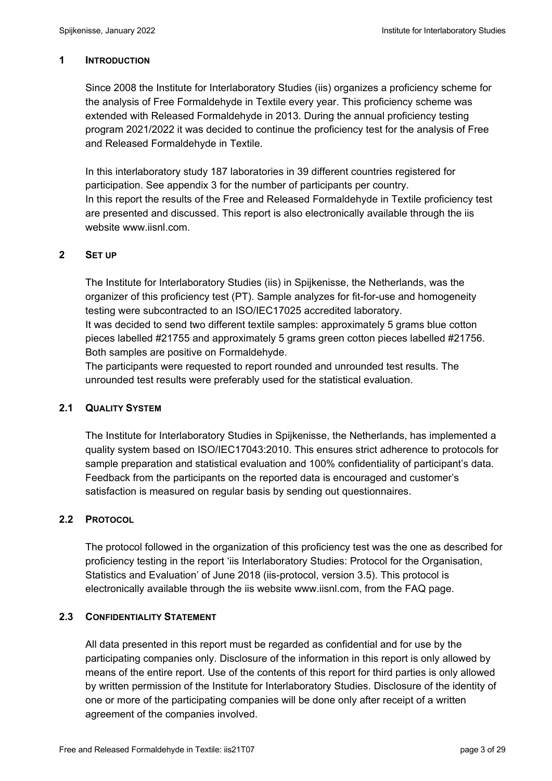### **1 INTRODUCTION**

Since 2008 the Institute for Interlaboratory Studies (iis) organizes a proficiency scheme for the analysis of Free Formaldehyde in Textile every year. This proficiency scheme was extended with Released Formaldehyde in 2013. During the annual proficiency testing program 2021/2022 it was decided to continue the proficiency test for the analysis of Free and Released Formaldehyde in Textile.

In this interlaboratory study 187 laboratories in 39 different countries registered for participation. See appendix 3 for the number of participants per country. In this report the results of the Free and Released Formaldehyde in Textile proficiency test are presented and discussed. This report is also electronically available through the iis website www.iisnl.com.

## **2 SET UP**

The Institute for Interlaboratory Studies (iis) in Spijkenisse, the Netherlands, was the organizer of this proficiency test (PT). Sample analyzes for fit-for-use and homogeneity testing were subcontracted to an ISO/IEC17025 accredited laboratory. It was decided to send two different textile samples: approximately 5 grams blue cotton pieces labelled #21755 and approximately 5 grams green cotton pieces labelled #21756. Both samples are positive on Formaldehyde.

The participants were requested to report rounded and unrounded test results. The unrounded test results were preferably used for the statistical evaluation.

#### **2.1 QUALITY SYSTEM**

The Institute for Interlaboratory Studies in Spijkenisse, the Netherlands, has implemented a quality system based on ISO/IEC17043:2010. This ensures strict adherence to protocols for sample preparation and statistical evaluation and 100% confidentiality of participant's data. Feedback from the participants on the reported data is encouraged and customer's satisfaction is measured on regular basis by sending out questionnaires.

## **2.2 PROTOCOL**

The protocol followed in the organization of this proficiency test was the one as described for proficiency testing in the report 'iis Interlaboratory Studies: Protocol for the Organisation, Statistics and Evaluation' of June 2018 (iis-protocol, version 3.5). This protocol is electronically available through the iis website www.iisnl.com, from the FAQ page.

## **2.3 CONFIDENTIALITY STATEMENT**

All data presented in this report must be regarded as confidential and for use by the participating companies only. Disclosure of the information in this report is only allowed by means of the entire report. Use of the contents of this report for third parties is only allowed by written permission of the Institute for Interlaboratory Studies. Disclosure of the identity of one or more of the participating companies will be done only after receipt of a written agreement of the companies involved.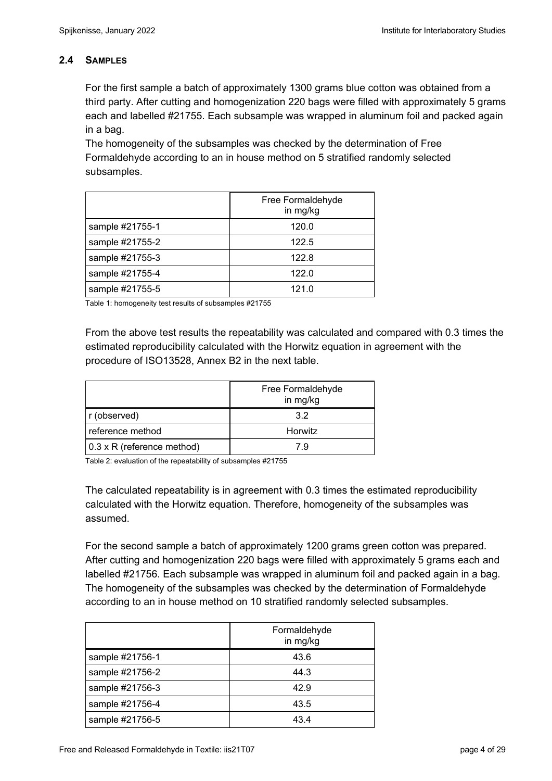## **2.4 SAMPLES**

For the first sample a batch of approximately 1300 grams blue cotton was obtained from a third party. After cutting and homogenization 220 bags were filled with approximately 5 grams each and labelled #21755. Each subsample was wrapped in aluminum foil and packed again in a bag.

The homogeneity of the subsamples was checked by the determination of Free Formaldehyde according to an in house method on 5 stratified randomly selected subsamples.

|                 | Free Formaldehyde<br>in mg/kg |
|-----------------|-------------------------------|
| sample #21755-1 | 120.0                         |
| sample #21755-2 | 122.5                         |
| sample #21755-3 | 122.8                         |
| sample #21755-4 | 122.0                         |
| sample #21755-5 | 121.0                         |

Table 1: homogeneity test results of subsamples #21755

From the above test results the repeatability was calculated and compared with 0.3 times the estimated reproducibility calculated with the Horwitz equation in agreement with the procedure of ISO13528, Annex B2 in the next table.

|                            | Free Formaldehyde<br>in mg/kg |
|----------------------------|-------------------------------|
| r (observed)               | 32                            |
| reference method           | Horwitz                       |
| 0.3 x R (reference method) | 7 9                           |

Table 2: evaluation of the repeatability of subsamples #21755

The calculated repeatability is in agreement with 0.3 times the estimated reproducibility calculated with the Horwitz equation. Therefore, homogeneity of the subsamples was assumed.

For the second sample a batch of approximately 1200 grams green cotton was prepared. After cutting and homogenization 220 bags were filled with approximately 5 grams each and labelled #21756. Each subsample was wrapped in aluminum foil and packed again in a bag. The homogeneity of the subsamples was checked by the determination of Formaldehyde according to an in house method on 10 stratified randomly selected subsamples.

|                 | Formaldehyde<br>in mg/kg |
|-----------------|--------------------------|
| sample #21756-1 | 43.6                     |
| sample #21756-2 | 44.3                     |
| sample #21756-3 | 42.9                     |
| sample #21756-4 | 43.5                     |
| sample #21756-5 | 43.4                     |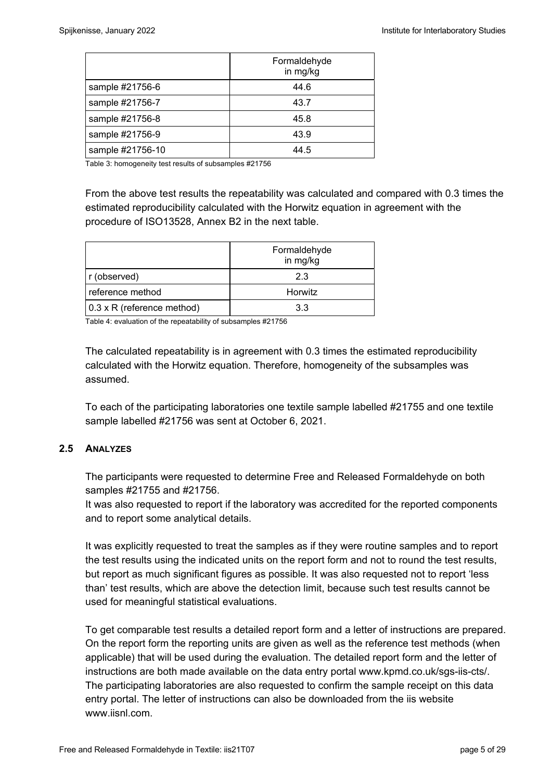|                  | Formaldehyde<br>in mg/kg |
|------------------|--------------------------|
| sample #21756-6  | 44.6                     |
| sample #21756-7  | 43.7                     |
| sample #21756-8  | 45.8                     |
| sample #21756-9  | 43.9                     |
| sample #21756-10 | 44.5                     |

Table 3: homogeneity test results of subsamples #21756

From the above test results the repeatability was calculated and compared with 0.3 times the estimated reproducibility calculated with the Horwitz equation in agreement with the procedure of ISO13528, Annex B2 in the next table.

|                                    | Formaldehyde<br>in mg/kg |
|------------------------------------|--------------------------|
| r (observed)                       | 2.3                      |
| reference method                   | Horwitz                  |
| $\vert$ 0.3 x R (reference method) | 33                       |

Table 4: evaluation of the repeatability of subsamples #21756

The calculated repeatability is in agreement with 0.3 times the estimated reproducibility calculated with the Horwitz equation. Therefore, homogeneity of the subsamples was assumed.

To each of the participating laboratories one textile sample labelled #21755 and one textile sample labelled #21756 was sent at October 6, 2021.

#### **2.5 ANALYZES**

The participants were requested to determine Free and Released Formaldehyde on both samples #21755 and #21756.

It was also requested to report if the laboratory was accredited for the reported components and to report some analytical details.

It was explicitly requested to treat the samples as if they were routine samples and to report the test results using the indicated units on the report form and not to round the test results, but report as much significant figures as possible. It was also requested not to report 'less than' test results, which are above the detection limit, because such test results cannot be used for meaningful statistical evaluations.

To get comparable test results a detailed report form and a letter of instructions are prepared. On the report form the reporting units are given as well as the reference test methods (when applicable) that will be used during the evaluation. The detailed report form and the letter of instructions are both made available on the data entry portal www.kpmd.co.uk/sgs-iis-cts/. The participating laboratories are also requested to confirm the sample receipt on this data entry portal. The letter of instructions can also be downloaded from the iis website www.iisnl.com.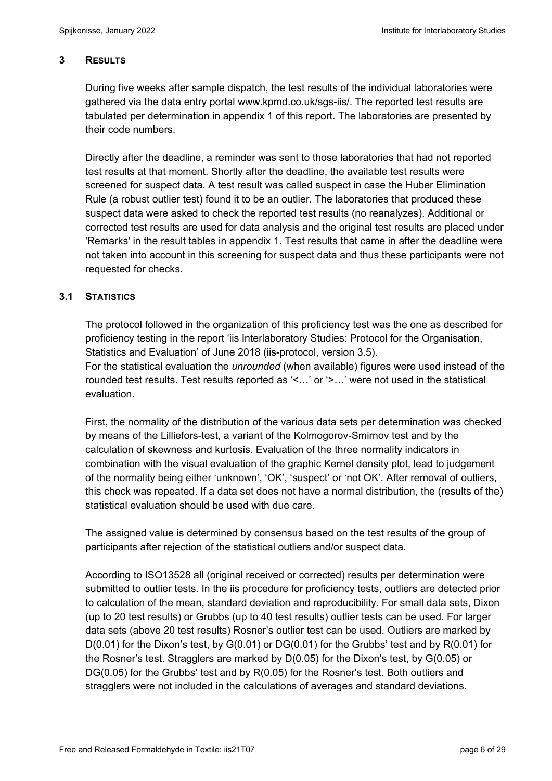### **3 RESULTS**

During five weeks after sample dispatch, the test results of the individual laboratories were gathered via the data entry portal www.kpmd.co.uk/sgs-iis/. The reported test results are tabulated per determination in appendix 1 of this report. The laboratories are presented by their code numbers.

Directly after the deadline, a reminder was sent to those laboratories that had not reported test results at that moment. Shortly after the deadline, the available test results were screened for suspect data. A test result was called suspect in case the Huber Elimination Rule (a robust outlier test) found it to be an outlier. The laboratories that produced these suspect data were asked to check the reported test results (no reanalyzes). Additional or corrected test results are used for data analysis and the original test results are placed under 'Remarks' in the result tables in appendix 1. Test results that came in after the deadline were not taken into account in this screening for suspect data and thus these participants were not requested for checks.

## **3.1 STATISTICS**

The protocol followed in the organization of this proficiency test was the one as described for proficiency testing in the report 'iis Interlaboratory Studies: Protocol for the Organisation, Statistics and Evaluation' of June 2018 (iis-protocol, version 3.5).

For the statistical evaluation the *unrounded* (when available) figures were used instead of the rounded test results. Test results reported as '<…' or '>…' were not used in the statistical evaluation.

First, the normality of the distribution of the various data sets per determination was checked by means of the Lilliefors-test, a variant of the Kolmogorov-Smirnov test and by the calculation of skewness and kurtosis. Evaluation of the three normality indicators in combination with the visual evaluation of the graphic Kernel density plot, lead to judgement of the normality being either 'unknown', 'OK', 'suspect' or 'not OK'. After removal of outliers, this check was repeated. If a data set does not have a normal distribution, the (results of the) statistical evaluation should be used with due care.

The assigned value is determined by consensus based on the test results of the group of participants after rejection of the statistical outliers and/or suspect data.

According to ISO13528 all (original received or corrected) results per determination were submitted to outlier tests. In the iis procedure for proficiency tests, outliers are detected prior to calculation of the mean, standard deviation and reproducibility. For small data sets, Dixon (up to 20 test results) or Grubbs (up to 40 test results) outlier tests can be used. For larger data sets (above 20 test results) Rosner's outlier test can be used. Outliers are marked by  $D(0.01)$  for the Dixon's test, by  $G(0.01)$  or  $DG(0.01)$  for the Grubbs' test and by  $R(0.01)$  for the Rosner's test. Stragglers are marked by D(0.05) for the Dixon's test, by G(0.05) or DG(0.05) for the Grubbs' test and by R(0.05) for the Rosner's test. Both outliers and stragglers were not included in the calculations of averages and standard deviations.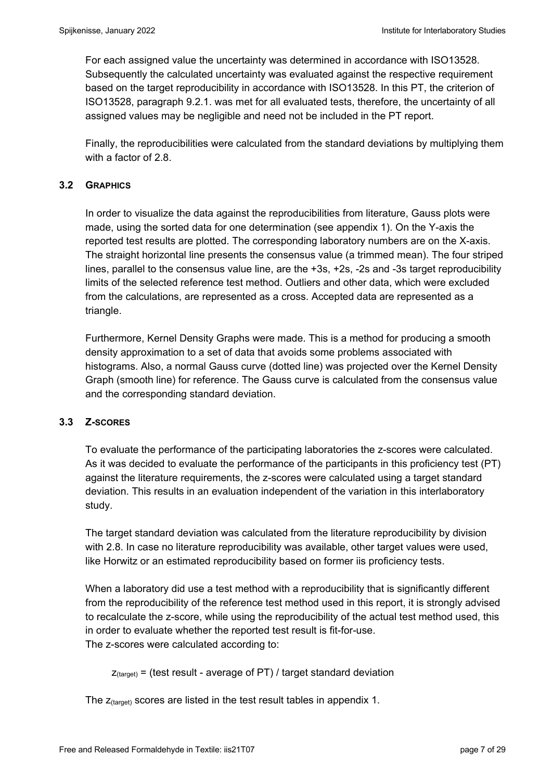For each assigned value the uncertainty was determined in accordance with ISO13528. Subsequently the calculated uncertainty was evaluated against the respective requirement based on the target reproducibility in accordance with ISO13528. In this PT, the criterion of ISO13528, paragraph 9.2.1. was met for all evaluated tests, therefore, the uncertainty of all assigned values may be negligible and need not be included in the PT report.

Finally, the reproducibilities were calculated from the standard deviations by multiplying them with a factor of 2.8.

## **3.2 GRAPHICS**

In order to visualize the data against the reproducibilities from literature, Gauss plots were made, using the sorted data for one determination (see appendix 1). On the Y-axis the reported test results are plotted. The corresponding laboratory numbers are on the X-axis. The straight horizontal line presents the consensus value (a trimmed mean). The four striped lines, parallel to the consensus value line, are the +3s, +2s, -2s and -3s target reproducibility limits of the selected reference test method. Outliers and other data, which were excluded from the calculations, are represented as a cross. Accepted data are represented as a triangle.

Furthermore, Kernel Density Graphs were made. This is a method for producing a smooth density approximation to a set of data that avoids some problems associated with histograms. Also, a normal Gauss curve (dotted line) was projected over the Kernel Density Graph (smooth line) for reference. The Gauss curve is calculated from the consensus value and the corresponding standard deviation.

## **3.3 Z-SCORES**

To evaluate the performance of the participating laboratories the z-scores were calculated. As it was decided to evaluate the performance of the participants in this proficiency test (PT) against the literature requirements, the z-scores were calculated using a target standard deviation. This results in an evaluation independent of the variation in this interlaboratory study.

The target standard deviation was calculated from the literature reproducibility by division with 2.8. In case no literature reproducibility was available, other target values were used, like Horwitz or an estimated reproducibility based on former iis proficiency tests.

When a laboratory did use a test method with a reproducibility that is significantly different from the reproducibility of the reference test method used in this report, it is strongly advised to recalculate the z-score, while using the reproducibility of the actual test method used, this in order to evaluate whether the reported test result is fit-for-use. The z-scores were calculated according to:

 $Z_{\text{target}}$  = (test result - average of PT) / target standard deviation

The  $z_{\text{target}}$  scores are listed in the test result tables in appendix 1.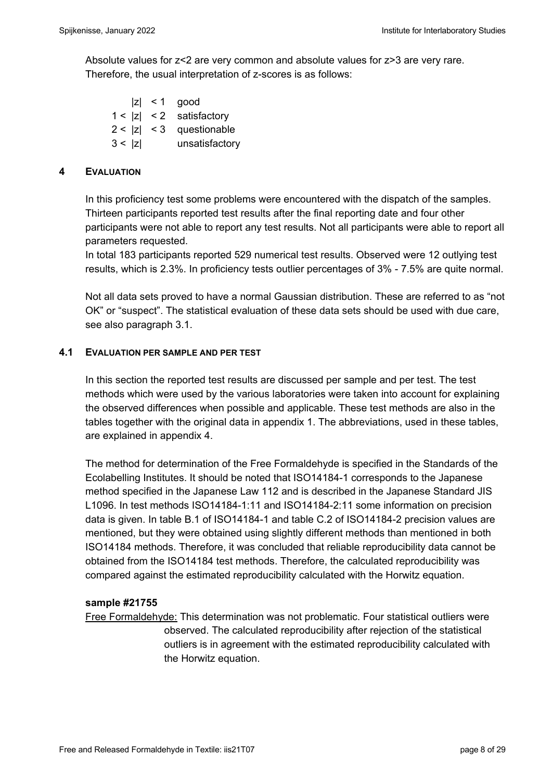Absolute values for z<2 are very common and absolute values for z>3 are very rare. Therefore, the usual interpretation of z-scores is as follows:

|        | $ z  < 1$ good             |
|--------|----------------------------|
|        | $1 <  z  < 2$ satisfactory |
|        | $2 <  z  < 3$ questionable |
| 3 <  z | unsatisfactory             |

### **4 EVALUATION**

In this proficiency test some problems were encountered with the dispatch of the samples. Thirteen participants reported test results after the final reporting date and four other participants were not able to report any test results. Not all participants were able to report all parameters requested.

In total 183 participants reported 529 numerical test results. Observed were 12 outlying test results, which is 2.3%. In proficiency tests outlier percentages of 3% - 7.5% are quite normal.

Not all data sets proved to have a normal Gaussian distribution. These are referred to as "not OK" or "suspect". The statistical evaluation of these data sets should be used with due care, see also paragraph 3.1.

## **4.1 EVALUATION PER SAMPLE AND PER TEST**

In this section the reported test results are discussed per sample and per test. The test methods which were used by the various laboratories were taken into account for explaining the observed differences when possible and applicable. These test methods are also in the tables together with the original data in appendix 1. The abbreviations, used in these tables, are explained in appendix 4.

The method for determination of the Free Formaldehyde is specified in the Standards of the Ecolabelling Institutes. It should be noted that ISO14184-1 corresponds to the Japanese method specified in the Japanese Law 112 and is described in the Japanese Standard JIS L1096. In test methods ISO14184-1:11 and ISO14184-2:11 some information on precision data is given. In table B.1 of ISO14184-1 and table C.2 of ISO14184-2 precision values are mentioned, but they were obtained using slightly different methods than mentioned in both ISO14184 methods. Therefore, it was concluded that reliable reproducibility data cannot be obtained from the ISO14184 test methods. Therefore, the calculated reproducibility was compared against the estimated reproducibility calculated with the Horwitz equation.

#### **sample #21755**

Free Formaldehyde: This determination was not problematic. Four statistical outliers were observed. The calculated reproducibility after rejection of the statistical outliers is in agreement with the estimated reproducibility calculated with the Horwitz equation.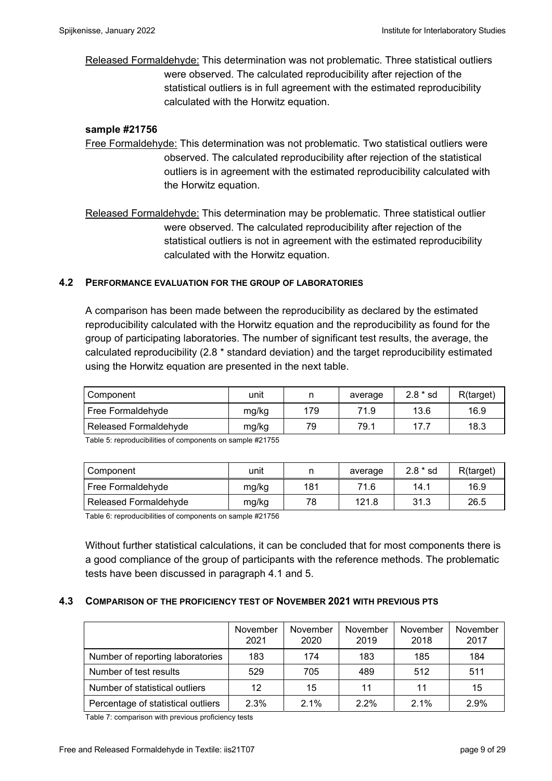Released Formaldehyde: This determination was not problematic. Three statistical outliers were observed. The calculated reproducibility after rejection of the statistical outliers is in full agreement with the estimated reproducibility calculated with the Horwitz equation.

#### **sample #21756**

- Free Formaldehyde: This determination was not problematic. Two statistical outliers were observed. The calculated reproducibility after rejection of the statistical outliers is in agreement with the estimated reproducibility calculated with the Horwitz equation.
- Released Formaldehyde: This determination may be problematic. Three statistical outlier were observed. The calculated reproducibility after rejection of the statistical outliers is not in agreement with the estimated reproducibility calculated with the Horwitz equation.

#### **4.2 PERFORMANCE EVALUATION FOR THE GROUP OF LABORATORIES**

A comparison has been made between the reproducibility as declared by the estimated reproducibility calculated with the Horwitz equation and the reproducibility as found for the group of participating laboratories. The number of significant test results, the average, the calculated reproducibility (2.8 \* standard deviation) and the target reproducibility estimated using the Horwitz equation are presented in the next table.

| Component             | unit  |     | average | $2.8 * sd$ | R(target) |
|-----------------------|-------|-----|---------|------------|-----------|
| Free Formaldehyde     | mg/kg | 179 | 71.9    | 13.6       | 16.9      |
| Released Formaldehyde | mg/kg | 79  | 79.1    | 17.7       | 18.3      |

Table 5: reproducibilities of components on sample #21755

| Component                    | unit  | n   | average | $2.8 * sd$ | R(target) |
|------------------------------|-------|-----|---------|------------|-----------|
| Free Formaldehyde            | mg/kg | 181 | 71.6    | 14.1       | 16.9      |
| <b>Released Formaldehvde</b> | mg/kg | 78  | 121.8   | 31.3       | 26.5      |

Table 6: reproducibilities of components on sample #21756

Without further statistical calculations, it can be concluded that for most components there is a good compliance of the group of participants with the reference methods. The problematic tests have been discussed in paragraph 4.1 and 5.

#### **4.3 COMPARISON OF THE PROFICIENCY TEST OF NOVEMBER 2021 WITH PREVIOUS PTS**

|                                    | November<br>2021 | November<br>2020 | November<br>2019 | November<br>2018 | November<br>2017 |
|------------------------------------|------------------|------------------|------------------|------------------|------------------|
| Number of reporting laboratories   | 183              | 174              | 183              | 185              | 184              |
| Number of test results             | 529              | 705              | 489              | 512              | 511              |
| Number of statistical outliers     | 12               | 15               | 11               | 11               | 15               |
| Percentage of statistical outliers | 2.3%             | 2.1%             | 2.2%             | $2.1\%$          | 2.9%             |

Table 7: comparison with previous proficiency tests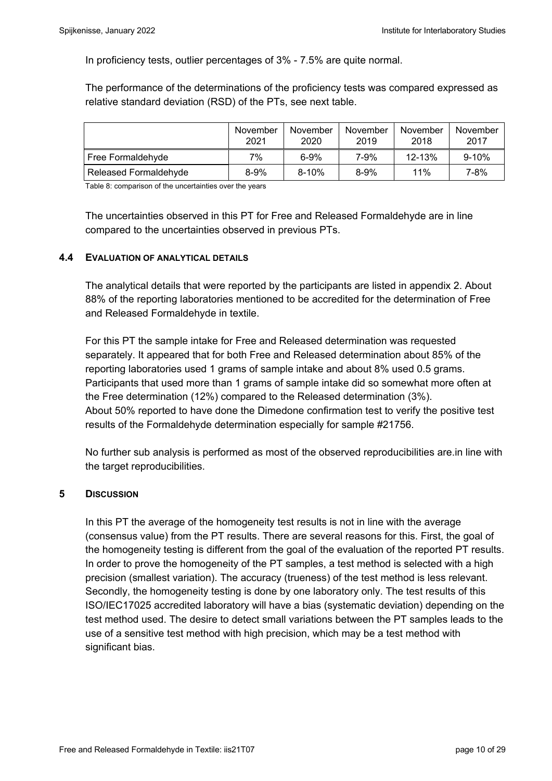In proficiency tests, outlier percentages of 3% - 7.5% are quite normal.

The performance of the determinations of the proficiency tests was compared expressed as relative standard deviation (RSD) of the PTs, see next table.

|                              | November<br>2021 | November<br>2020 | November<br>2019 | November<br>2018 | November<br>2017 |
|------------------------------|------------------|------------------|------------------|------------------|------------------|
| Free Formaldehyde            | 7%               | $6 - 9%$         | 7-9%             | 12-13%           | $9 - 10%$        |
| <b>Released Formaldehvde</b> | $8 - 9%$         | $8 - 10%$        | $8 - 9%$         | $11\%$           | 7-8%             |

Table 8: comparison of the uncertainties over the years

The uncertainties observed in this PT for Free and Released Formaldehyde are in line compared to the uncertainties observed in previous PTs.

#### **4.4 EVALUATION OF ANALYTICAL DETAILS**

The analytical details that were reported by the participants are listed in appendix 2. About 88% of the reporting laboratories mentioned to be accredited for the determination of Free and Released Formaldehyde in textile.

For this PT the sample intake for Free and Released determination was requested separately. It appeared that for both Free and Released determination about 85% of the reporting laboratories used 1 grams of sample intake and about 8% used 0.5 grams. Participants that used more than 1 grams of sample intake did so somewhat more often at the Free determination (12%) compared to the Released determination (3%). About 50% reported to have done the Dimedone confirmation test to verify the positive test results of the Formaldehyde determination especially for sample #21756.

No further sub analysis is performed as most of the observed reproducibilities are.in line with the target reproducibilities.

#### **5 DISCUSSION**

In this PT the average of the homogeneity test results is not in line with the average (consensus value) from the PT results. There are several reasons for this. First, the goal of the homogeneity testing is different from the goal of the evaluation of the reported PT results. In order to prove the homogeneity of the PT samples, a test method is selected with a high precision (smallest variation). The accuracy (trueness) of the test method is less relevant. Secondly, the homogeneity testing is done by one laboratory only. The test results of this ISO/IEC17025 accredited laboratory will have a bias (systematic deviation) depending on the test method used. The desire to detect small variations between the PT samples leads to the use of a sensitive test method with high precision, which may be a test method with significant bias.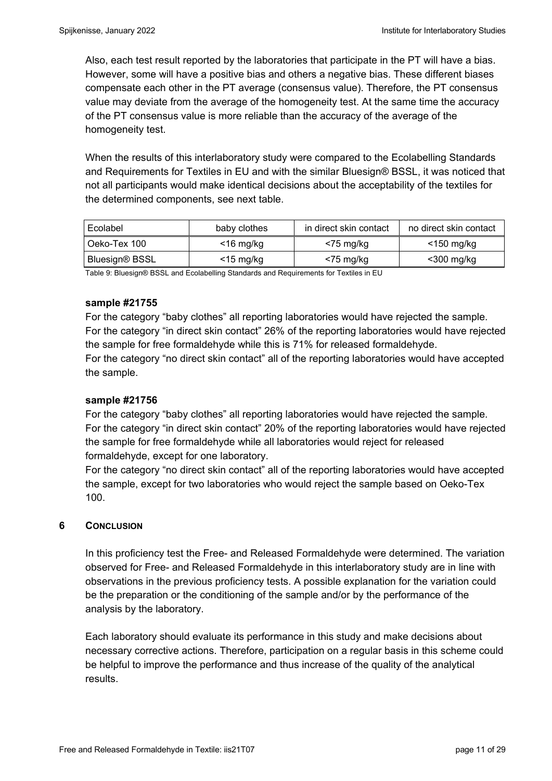Also, each test result reported by the laboratories that participate in the PT will have a bias. However, some will have a positive bias and others a negative bias. These different biases compensate each other in the PT average (consensus value). Therefore, the PT consensus value may deviate from the average of the homogeneity test. At the same time the accuracy of the PT consensus value is more reliable than the accuracy of the average of the homogeneity test.

When the results of this interlaboratory study were compared to the Ecolabelling Standards and Requirements for Textiles in EU and with the similar Bluesign® BSSL, it was noticed that not all participants would make identical decisions about the acceptability of the textiles for the determined components, see next table.

| Ecolabel       | baby clothes | in direct skin contact | no direct skin contact |
|----------------|--------------|------------------------|------------------------|
| Oeko-Tex 100   | $<$ 16 mg/kg | $<$ 75 mg/kg           | $<$ 150 mg/kg          |
| Bluesign® BSSL | $<$ 15 mg/kg | $<$ 75 mg/kg           | $<$ 300 mg/kg          |

Table 9: Bluesign® BSSL and Ecolabelling Standards and Requirements for Textiles in EU

#### **sample #21755**

For the category "baby clothes" all reporting laboratories would have rejected the sample. For the category "in direct skin contact" 26% of the reporting laboratories would have rejected the sample for free formaldehyde while this is 71% for released formaldehyde. For the category "no direct skin contact" all of the reporting laboratories would have accepted the sample.

## **sample #21756**

For the category "baby clothes" all reporting laboratories would have rejected the sample. For the category "in direct skin contact" 20% of the reporting laboratories would have rejected the sample for free formaldehyde while all laboratories would reject for released formaldehyde, except for one laboratory.

For the category "no direct skin contact" all of the reporting laboratories would have accepted the sample, except for two laboratories who would reject the sample based on Oeko-Tex 100.

## **6** CONCLUSION

In this proficiency test the Free- and Released Formaldehyde were determined. The variation observed for Free- and Released Formaldehyde in this interlaboratory study are in line with observations in the previous proficiency tests. A possible explanation for the variation could be the preparation or the conditioning of the sample and/or by the performance of the analysis by the laboratory.

Each laboratory should evaluate its performance in this study and make decisions about necessary corrective actions. Therefore, participation on a regular basis in this scheme could be helpful to improve the performance and thus increase of the quality of the analytical results.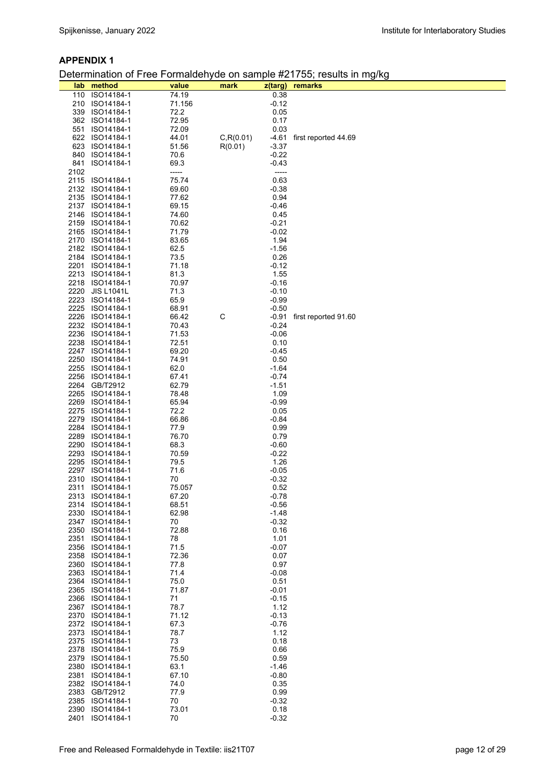#### **APPENDIX 1**

Determination of Free Formaldehyde on sample #21755; results in mg/kg

| lab  | method            | value  | mark       | z(targ) | remarks              |
|------|-------------------|--------|------------|---------|----------------------|
| 110  | ISO14184-1        | 74.19  |            | 0.38    |                      |
|      | 210 ISO14184-1    | 71.156 |            | $-0.12$ |                      |
|      | 339 ISO14184-1    |        |            |         |                      |
|      |                   | 72.2   |            | 0.05    |                      |
|      | 362 ISO14184-1    | 72.95  |            | 0.17    |                      |
|      | 551 ISO14184-1    | 72.09  |            | 0.03    |                      |
|      | 622 ISO14184-1    | 44.01  | C, R(0.01) | -4.61   | first reported 44.69 |
|      | 623 ISO14184-1    | 51.56  | R(0.01)    | $-3.37$ |                      |
|      | 840 ISO14184-1    | 70.6   |            | $-0.22$ |                      |
|      | 841 ISO14184-1    | 69.3   |            | $-0.43$ |                      |
| 2102 |                   | -----  |            | -----   |                      |
| 2115 | ISO14184-1        | 75.74  |            | 0.63    |                      |
| 2132 | ISO14184-1        | 69.60  |            | $-0.38$ |                      |
| 2135 | ISO14184-1        | 77.62  |            | 0.94    |                      |
|      | 2137 ISO14184-1   | 69.15  |            | $-0.46$ |                      |
|      | 2146 ISO14184-1   | 74.60  |            | 0.45    |                      |
|      | 2159 ISO14184-1   | 70.62  |            | $-0.21$ |                      |
|      | 2165 ISO14184-1   | 71.79  |            | $-0.02$ |                      |
|      | 2170 ISO14184-1   | 83.65  |            | 1.94    |                      |
|      | 2182 ISO14184-1   | 62.5   |            | $-1.56$ |                      |
|      | 2184 ISO14184-1   | 73.5   |            | 0.26    |                      |
|      | 2201 ISO14184-1   | 71.18  |            | $-0.12$ |                      |
|      | 2213 ISO14184-1   | 81.3   |            | 1.55    |                      |
|      | 2218 ISO14184-1   | 70.97  |            | $-0.16$ |                      |
| 2220 | <b>JIS L1041L</b> | 71.3   |            | $-0.10$ |                      |
|      | 2223 ISO14184-1   | 65.9   |            | $-0.99$ |                      |
|      | 2225 ISO14184-1   |        |            | $-0.50$ |                      |
|      | 2226 ISO14184-1   | 68.91  | С          |         |                      |
|      |                   | 66.42  |            | -0.91   | first reported 91.60 |
|      | 2232 ISO14184-1   | 70.43  |            | $-0.24$ |                      |
|      | 2236 ISO14184-1   | 71.53  |            | $-0.06$ |                      |
|      | 2238 ISO14184-1   | 72.51  |            | 0.10    |                      |
|      | 2247 ISO14184-1   | 69.20  |            | $-0.45$ |                      |
|      | 2250 ISO14184-1   | 74.91  |            | 0.50    |                      |
|      | 2255 ISO14184-1   | 62.0   |            | $-1.64$ |                      |
|      | 2256 ISO14184-1   | 67.41  |            | $-0.74$ |                      |
|      | 2264 GB/T2912     | 62.79  |            | $-1.51$ |                      |
|      | 2265 ISO14184-1   | 78.48  |            | 1.09    |                      |
|      | 2269 ISO14184-1   | 65.94  |            | $-0.99$ |                      |
|      | 2275 ISO14184-1   | 72.2   |            | 0.05    |                      |
| 2279 | ISO14184-1        | 66.86  |            | $-0.84$ |                      |
|      | 2284 ISO14184-1   | 77.9   |            | 0.99    |                      |
| 2289 | ISO14184-1        | 76.70  |            | 0.79    |                      |
|      | 2290 ISO14184-1   | 68.3   |            | $-0.60$ |                      |
|      | 2293 ISO14184-1   | 70.59  |            | $-0.22$ |                      |
|      | 2295 ISO14184-1   | 79.5   |            | 1.26    |                      |
|      | 2297 ISO14184-1   | 71.6   |            | $-0.05$ |                      |
| 2310 | ISO14184-1        | 70     |            | $-0.32$ |                      |
| 2311 | ISO14184-1        | 75.057 |            | 0.52    |                      |
|      | 2313 ISO14184-1   | 67.20  |            | -0.78   |                      |
|      | 2314 ISO14184-1   | 68.51  |            | -0.56   |                      |
|      | 2330 ISO14184-1   | 62.98  |            | $-1.48$ |                      |
|      | 2347 ISO14184-1   | 70     |            | $-0.32$ |                      |
|      | 2350 ISO14184-1   | 72.88  |            | 0.16    |                      |
|      | 2351 ISO14184-1   | 78     |            | 1.01    |                      |
|      | 2356 ISO14184-1   | 71.5   |            | $-0.07$ |                      |
|      | 2358 ISO14184-1   | 72.36  |            | 0.07    |                      |
|      | 2360 ISO14184-1   | 77.8   |            | 0.97    |                      |
|      | 2363 ISO14184-1   | 71.4   |            | $-0.08$ |                      |
|      | 2364 ISO14184-1   | 75.0   |            | 0.51    |                      |
|      | 2365 ISO14184-1   | 71.87  |            | $-0.01$ |                      |
|      | 2366 ISO14184-1   | 71     |            | $-0.15$ |                      |
|      | 2367 ISO14184-1   | 78.7   |            | 1.12    |                      |
|      | 2370 ISO14184-1   | 71.12  |            | $-0.13$ |                      |
|      | 2372 ISO14184-1   | 67.3   |            | $-0.76$ |                      |
|      | 2373 ISO14184-1   | 78.7   |            | 1.12    |                      |
|      | 2375 ISO14184-1   | 73     |            | 0.18    |                      |
|      | 2378 ISO14184-1   | 75.9   |            | 0.66    |                      |
|      | 2379 ISO14184-1   | 75.50  |            | 0.59    |                      |
|      | 2380 ISO14184-1   | 63.1   |            | $-1.46$ |                      |
|      | 2381 ISO14184-1   | 67.10  |            | $-0.80$ |                      |
|      | 2382 ISO14184-1   | 74.0   |            | 0.35    |                      |
|      | 2383 GB/T2912     | 77.9   |            | 0.99    |                      |
|      | 2385 ISO14184-1   | 70     |            | $-0.32$ |                      |
|      | 2390 ISO14184-1   | 73.01  |            | 0.18    |                      |
|      | 2401 ISO14184-1   | 70     |            | $-0.32$ |                      |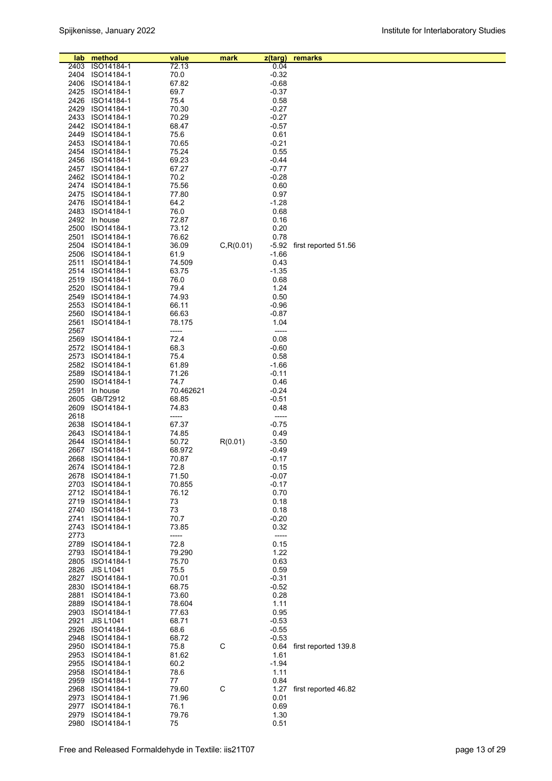|      | method           | value     |            |         | remarks                    |
|------|------------------|-----------|------------|---------|----------------------------|
| lab  |                  |           | mark       | z(targ) |                            |
| 2403 | ISO14184-1       | 72.13     |            | 0.04    |                            |
| 2404 | ISO14184-1       | 70.0      |            | $-0.32$ |                            |
| 2406 | ISO14184-1       | 67.82     |            | $-0.68$ |                            |
|      | 2425 ISO14184-1  | 69.7      |            | $-0.37$ |                            |
| 2426 | ISO14184-1       | 75.4      |            | 0.58    |                            |
| 2429 | ISO14184-1       | 70.30     |            | $-0.27$ |                            |
| 2433 | ISO14184-1       | 70.29     |            | $-0.27$ |                            |
|      | 2442 ISO14184-1  | 68.47     |            | $-0.57$ |                            |
|      |                  | 75.6      |            |         |                            |
| 2449 | ISO14184-1       |           |            | 0.61    |                            |
| 2453 | ISO14184-1       | 70.65     |            | $-0.21$ |                            |
|      | 2454 ISO14184-1  | 75.24     |            | 0.55    |                            |
|      | 2456 ISO14184-1  | 69.23     |            | -0.44   |                            |
|      | 2457 ISO14184-1  | 67.27     |            | $-0.77$ |                            |
|      | 2462 ISO14184-1  | 70.2      |            | $-0.28$ |                            |
|      | 2474 ISO14184-1  | 75.56     |            | 0.60    |                            |
| 2475 | ISO14184-1       | 77.80     |            | 0.97    |                            |
|      | 2476 ISO14184-1  | 64.2      |            | $-1.28$ |                            |
|      | 2483 ISO14184-1  | 76.0      |            | 0.68    |                            |
|      | 2492 In house    | 72.87     |            | 0.16    |                            |
|      |                  |           |            |         |                            |
| 2500 | ISO14184-1       | 73.12     |            | 0.20    |                            |
| 2501 | ISO14184-1       | 76.62     |            | 0.78    |                            |
| 2504 | ISO14184-1       | 36.09     | C, R(0.01) |         | -5.92 first reported 51.56 |
|      | 2506 ISO14184-1  | 61.9      |            | $-1.66$ |                            |
| 2511 | ISO14184-1       | 74.509    |            | 0.43    |                            |
|      | 2514 ISO14184-1  | 63.75     |            | $-1.35$ |                            |
|      | 2519 ISO14184-1  | 76.0      |            | 0.68    |                            |
|      | 2520 ISO14184-1  | 79.4      |            | 1.24    |                            |
| 2549 | ISO14184-1       | 74.93     |            | 0.50    |                            |
| 2553 |                  | 66.11     |            | -0.96   |                            |
|      | ISO14184-1       |           |            |         |                            |
| 2560 | ISO14184-1       | 66.63     |            | -0.87   |                            |
| 2561 | ISO14184-1       | 78.175    |            | 1.04    |                            |
| 2567 |                  | -----     |            | -----   |                            |
| 2569 | ISO14184-1       | 72.4      |            | 0.08    |                            |
| 2572 | ISO14184-1       | 68.3      |            | $-0.60$ |                            |
| 2573 | ISO14184-1       | 75.4      |            | 0.58    |                            |
|      | 2582 ISO14184-1  | 61.89     |            | -1.66   |                            |
| 2589 | ISO14184-1       | 71.26     |            | -0.11   |                            |
|      |                  |           |            |         |                            |
| 2590 | ISO14184-1       | 74.7      |            | 0.46    |                            |
| 2591 | In house         | 70.462621 |            | $-0.24$ |                            |
|      | 2605 GB/T2912    | 68.85     |            | -0.51   |                            |
| 2609 | ISO14184-1       | 74.83     |            | 0.48    |                            |
| 2618 |                  | -----     |            | -----   |                            |
| 2638 | ISO14184-1       | 67.37     |            | $-0.75$ |                            |
| 2643 | ISO14184-1       | 74.85     |            | 0.49    |                            |
| 2644 | ISO14184-1       | 50.72     | R(0.01)    | $-3.50$ |                            |
| 2667 | ISO14184-1       | 68.972    |            | -0.49   |                            |
| 2668 | ISO14184-1       | 70.87     |            | -0.17   |                            |
|      |                  |           |            |         |                            |
|      | 2674 ISO14184-1  | 72.8      |            | 0.15    |                            |
|      | 2678 ISO14184-1  | 71.50     |            | $-0.07$ |                            |
|      | 2703 ISO14184-1  | 70.855    |            | -0.17   |                            |
|      | 2712 ISO14184-1  | 76.12     |            | 0.70    |                            |
|      | 2719 ISO14184-1  | 73        |            | 0.18    |                            |
|      | 2740 ISO14184-1  | 73        |            | 0.18    |                            |
|      | 2741 ISO14184-1  | 70.7      |            | $-0.20$ |                            |
|      | 2743 ISO14184-1  | 73.85     |            | 0.32    |                            |
| 2773 |                  | -----     |            | -----   |                            |
|      | 2789 ISO14184-1  | 72.8      |            | 0.15    |                            |
|      | 2793 ISO14184-1  | 79.290    |            | 1.22    |                            |
|      | 2805 ISO14184-1  | 75.70     |            | 0.63    |                            |
|      | 2826 JIS L1041   | 75.5      |            | 0.59    |                            |
|      | 2827 ISO14184-1  | 70.01     |            | $-0.31$ |                            |
|      |                  |           |            |         |                            |
|      | 2830 ISO14184-1  | 68.75     |            | $-0.52$ |                            |
|      | 2881 ISO14184-1  | 73.60     |            | 0.28    |                            |
|      | 2889 ISO14184-1  | 78.604    |            | 1.11    |                            |
|      | 2903 ISO14184-1  | 77.63     |            | 0.95    |                            |
| 2921 | <b>JIS L1041</b> | 68.71     |            | $-0.53$ |                            |
|      | 2926 ISO14184-1  | 68.6      |            | $-0.55$ |                            |
|      | 2948 ISO14184-1  | 68.72     |            | -0.53   |                            |
|      | 2950 ISO14184-1  | 75.8      | C          | 0.64    | first reported 139.8       |
|      | 2953 ISO14184-1  | 81.62     |            | 1.61    |                            |
|      | 2955 ISO14184-1  |           |            | $-1.94$ |                            |
|      |                  | 60.2      |            |         |                            |
|      | 2958 ISO14184-1  | 78.6      |            | 1.11    |                            |
|      | 2959 ISO14184-1  | 77        |            | 0.84    |                            |
|      | 2968 ISO14184-1  | 79.60     | C          |         | 1.27 first reported 46.82  |
|      | 2973 ISO14184-1  | 71.96     |            | 0.01    |                            |
| 2977 | ISO14184-1       | 76.1      |            | 0.69    |                            |
| 2979 | ISO14184-1       | 79.76     |            | 1.30    |                            |
|      | 2980 ISO14184-1  | 75        |            | 0.51    |                            |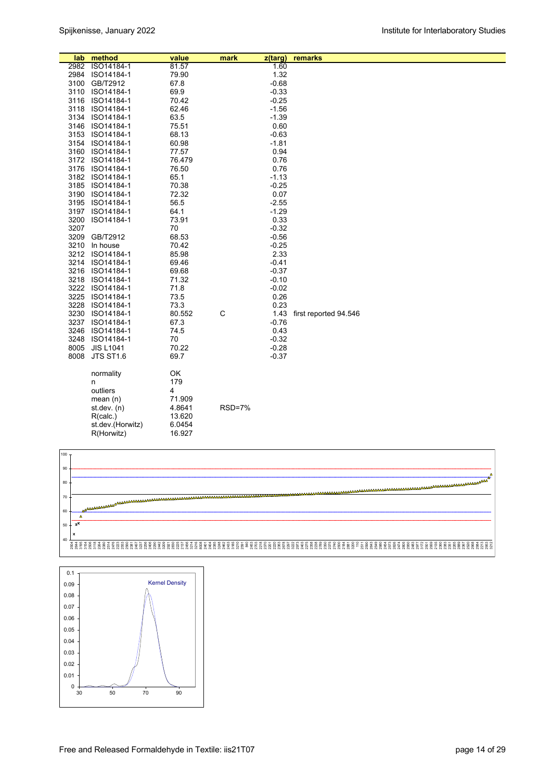| lab  | method           | value  | mark          | z(targ) | remarks               |
|------|------------------|--------|---------------|---------|-----------------------|
| 2982 | ISO14184-1       | 81.57  |               | 1.60    |                       |
| 2984 | ISO14184-1       | 79.90  |               | 1.32    |                       |
| 3100 | GB/T2912         | 67.8   |               | $-0.68$ |                       |
| 3110 | ISO14184-1       | 69.9   |               | $-0.33$ |                       |
|      | 3116 ISO14184-1  | 70.42  |               | $-0.25$ |                       |
| 3118 | ISO14184-1       | 62.46  |               | $-1.56$ |                       |
|      | 3134 ISO14184-1  | 63.5   |               | $-1.39$ |                       |
|      | 3146 ISO14184-1  | 75.51  |               | 0.60    |                       |
|      | 3153 ISO14184-1  | 68.13  |               | $-0.63$ |                       |
| 3154 | ISO14184-1       | 60.98  |               | $-1.81$ |                       |
|      | 3160 ISO14184-1  | 77.57  |               | 0.94    |                       |
|      | 3172 ISO14184-1  | 76.479 |               | 0.76    |                       |
|      | 3176 ISO14184-1  | 76.50  |               | 0.76    |                       |
|      | 3182 ISO14184-1  | 65.1   |               | $-1.13$ |                       |
| 3185 | ISO14184-1       | 70.38  |               | $-0.25$ |                       |
| 3190 | ISO14184-1       | 72.32  |               | 0.07    |                       |
| 3195 | ISO14184-1       | 56.5   |               | $-2.55$ |                       |
| 3197 | ISO14184-1       | 64.1   |               | $-1.29$ |                       |
| 3200 | ISO14184-1       | 73.91  |               | 0.33    |                       |
| 3207 |                  | 70     |               | $-0.32$ |                       |
| 3209 | GB/T2912         | 68.53  |               | $-0.56$ |                       |
| 3210 | In house         | 70.42  |               | $-0.25$ |                       |
|      | 3212 ISO14184-1  | 85.98  |               | 2.33    |                       |
|      | 3214 ISO14184-1  | 69.46  |               | $-0.41$ |                       |
|      | 3216 ISO14184-1  | 69.68  |               | $-0.37$ |                       |
| 3218 | ISO14184-1       | 71.32  |               | $-0.10$ |                       |
|      | 3222 ISO14184-1  | 71.8   |               | $-0.02$ |                       |
|      | 3225 ISO14184-1  | 73.5   |               | 0.26    |                       |
| 3228 | ISO14184-1       | 73.3   |               | 0.23    |                       |
|      | 3230 ISO14184-1  | 80.552 | $\mathsf{C}$  | 1.43    | first reported 94.546 |
| 3237 | ISO14184-1       | 67.3   |               | $-0.76$ |                       |
| 3246 | ISO14184-1       | 74.5   |               | 0.43    |                       |
| 3248 | ISO14184-1       | 70     |               | $-0.32$ |                       |
| 8005 | <b>JIS L1041</b> | 70.22  |               | $-0.28$ |                       |
|      | 8008 JTS ST1.6   | 69.7   |               | $-0.37$ |                       |
|      |                  |        |               |         |                       |
|      | normality        | OK     |               |         |                       |
|      | n                | 179    |               |         |                       |
|      | outliers         | 4      |               |         |                       |
|      | mean $(n)$       | 71.909 |               |         |                       |
|      | st.dev. $(n)$    | 4.8641 | <b>RSD=7%</b> |         |                       |
|      | R(calc.)         | 13.620 |               |         |                       |
|      | st.dev.(Horwitz) | 6.0454 |               |         |                       |
|      | R(Horwitz)       | 16.927 |               |         |                       |



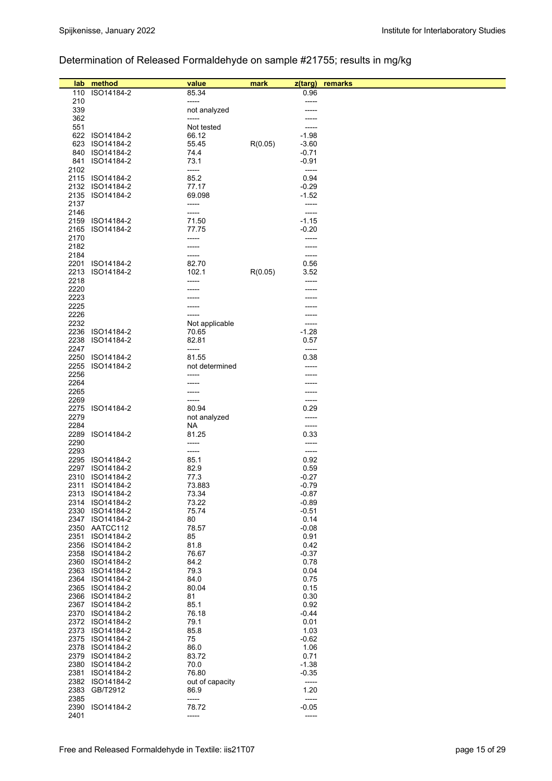# Determination of Released Formaldehyde on sample #21755; results in mg/kg

| lab          | method                           | value                 | mark    | $z$ (targ)         | remarks |
|--------------|----------------------------------|-----------------------|---------|--------------------|---------|
| 110<br>210   | ISO14184-2                       | 85.34                 |         | 0.96               |         |
| 339          |                                  | -----<br>not analyzed |         | -----              |         |
| 362          |                                  |                       |         |                    |         |
| 551          |                                  | Not tested            |         | -----              |         |
|              | 622 ISO14184-2                   | 66.12                 |         | $-1.98$            |         |
| 623          | ISO14184-2                       | 55.45                 | R(0.05) | $-3.60$            |         |
| 840          | ISO14184-2                       | 74.4                  |         | $-0.71$            |         |
| 841          | ISO14184-2                       | 73.1                  |         | $-0.91$            |         |
| 2102         |                                  | -----                 |         | -----              |         |
|              | 2115 ISO14184-2                  | 85.2                  |         | 0.94               |         |
|              | 2132 ISO14184-2                  | 77.17                 |         | $-0.29$            |         |
|              | 2135 ISO14184-2                  | 69.098                |         | $-1.52$            |         |
| 2137         |                                  | -----                 |         | -----              |         |
| 2146         |                                  | -----                 |         | -----              |         |
| 2159         | ISO14184-2                       | 71.50                 |         | $-1.15$            |         |
| 2165         | ISO14184-2                       | 77.75                 |         | $-0.20$            |         |
| 2170         |                                  | -----                 |         |                    |         |
| 2182         |                                  | -----                 |         | -----              |         |
| 2184         |                                  | -----                 |         | -----              |         |
| 2201         | ISO14184-2                       | 82.70                 |         | 0.56               |         |
| 2213         | ISO14184-2                       | 102.1                 | R(0.05) | 3.52               |         |
| 2218         |                                  | -----                 |         | -----              |         |
| 2220<br>2223 |                                  |                       |         |                    |         |
| 2225         |                                  |                       |         |                    |         |
| 2226         |                                  |                       |         |                    |         |
| 2232         |                                  | Not applicable        |         | -----              |         |
| 2236         | ISO14184-2                       | 70.65                 |         | $-1.28$            |         |
| 2238         | ISO14184-2                       | 82.81                 |         | 0.57               |         |
| 2247         |                                  | -----                 |         | -----              |         |
| 2250         | ISO14184-2                       | 81.55                 |         | 0.38               |         |
| 2255         | ISO14184-2                       | not determined        |         | -----              |         |
| 2256         |                                  | -----                 |         |                    |         |
| 2264         |                                  |                       |         |                    |         |
| 2265         |                                  |                       |         |                    |         |
| 2269         |                                  |                       |         | -----              |         |
| 2275         | ISO14184-2                       | 80.94                 |         | 0.29               |         |
| 2279         |                                  | not analyzed          |         | -----              |         |
| 2284         |                                  | NA                    |         | -----              |         |
| 2289         | ISO14184-2                       | 81.25                 |         | 0.33               |         |
| 2290         |                                  | -----                 |         | -----              |         |
| 2293         |                                  | -----                 |         | -----              |         |
|              | 2295 ISO14184-2                  | 85.1                  |         | 0.92               |         |
| 2297         | ISO14184-2                       | 82.9                  |         | 0.59               |         |
| 2310         | ISO14184-2                       | 77.3                  |         | $-0.27$            |         |
| 2311         | ISO14184-2                       | 73.883                |         | $-0.79$            |         |
| 2313         | ISO14184-2                       | 73.34                 |         | $-0.87$            |         |
| 2314         | ISO14184-2                       | 73.22<br>75.74        |         | $-0.89$<br>$-0.51$ |         |
| 2330         | ISO14184-2                       |                       |         | 0.14               |         |
|              | 2347 ISO14184-2<br>2350 AATCC112 | 80<br>78.57           |         | $-0.08$            |         |
| 2351         | ISO14184-2                       | 85                    |         | 0.91               |         |
| 2356         | ISO14184-2                       | 81.8                  |         | 0.42               |         |
|              | 2358 ISO14184-2                  | 76.67                 |         | $-0.37$            |         |
|              | 2360 ISO14184-2                  | 84.2                  |         | 0.78               |         |
|              | 2363 ISO14184-2                  | 79.3                  |         | 0.04               |         |
|              | 2364 ISO14184-2                  | 84.0                  |         | 0.75               |         |
|              | 2365 ISO14184-2                  | 80.04                 |         | 0.15               |         |
|              | 2366 ISO14184-2                  | 81                    |         | 0.30               |         |
|              | 2367 ISO14184-2                  | 85.1                  |         | 0.92               |         |
| 2370         | ISO14184-2                       | 76.18                 |         | $-0.44$            |         |
|              | 2372 ISO14184-2                  | 79.1                  |         | 0.01               |         |
| 2373         | ISO14184-2                       | 85.8                  |         | 1.03               |         |
| 2375         | ISO14184-2                       | 75                    |         | $-0.62$            |         |
| 2378         | ISO14184-2                       | 86.0                  |         | 1.06               |         |
| 2379         | ISO14184-2                       | 83.72                 |         | 0.71               |         |
|              | 2380 ISO14184-2                  | 70.0                  |         | $-1.38$            |         |
| 2381         | ISO14184-2                       | 76.80                 |         | $-0.35$            |         |
|              | 2382 ISO14184-2                  | out of capacity       |         | -----              |         |
| 2383         | GB/T2912                         | 86.9                  |         | 1.20               |         |
| 2385         |                                  | -----                 |         | -----              |         |
|              | 2390 ISO14184-2                  | 78.72                 |         | $-0.05$            |         |

2401 ----- -----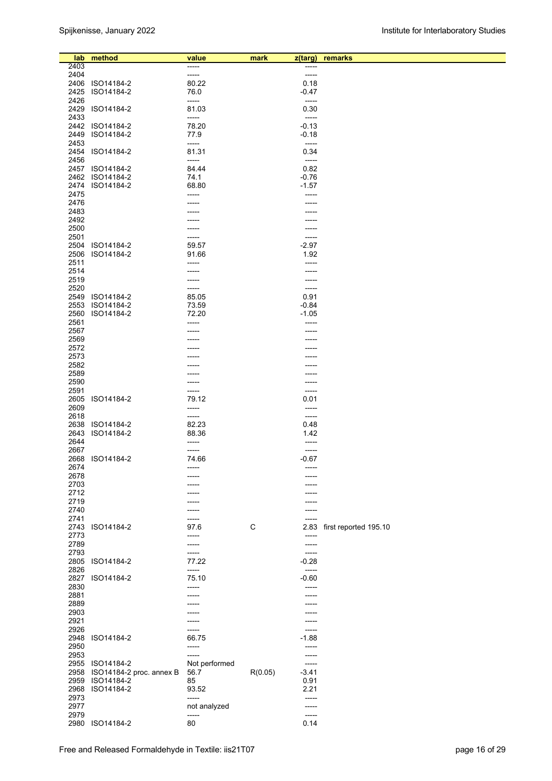| lab          | method                        | value          | mark    | z(targ)          | remarks               |
|--------------|-------------------------------|----------------|---------|------------------|-----------------------|
| 2403         |                               | -----          |         | -----            |                       |
| 2404         |                               | -----          |         | -----            |                       |
| 2406         | ISO14184-2                    | 80.22          |         | 0.18             |                       |
| 2425         | ISO14184-2                    | 76.0           |         | $-0.47$          |                       |
| 2426         |                               | -----          |         | -----            |                       |
| 2429         | ISO14184-2                    | 81.03          |         | 0.30             |                       |
| 2433         |                               | -----          |         | -----            |                       |
| 2442         | ISO14184-2                    | 78.20          |         | $-0.13$          |                       |
| 2449         | ISO14184-2                    | 77.9           |         | $-0.18$          |                       |
| 2453         |                               | -----          |         | -----            |                       |
| 2454         | ISO14184-2                    | 81.31          |         | 0.34             |                       |
| 2456         |                               | -----          |         | -----            |                       |
|              | 2457 ISO14184-2               | 84.44          |         | 0.82             |                       |
|              | 2462 ISO14184-2               | 74.1           |         | $-0.76$          |                       |
| 2474         | ISO14184-2                    | 68.80          |         | $-1.57$          |                       |
| 2475         |                               | -----          |         |                  |                       |
| 2476         |                               | -----          |         |                  |                       |
| 2483         |                               |                |         |                  |                       |
| 2492         |                               |                |         |                  |                       |
| 2500         |                               | ----           |         |                  |                       |
| 2501         |                               | -----          |         | -----            |                       |
| 2504         | ISO14184-2                    | 59.57          |         | $-2.97$          |                       |
| 2506         | ISO14184-2                    | 91.66          |         | 1.92             |                       |
| 2511         |                               | -----          |         |                  |                       |
| 2514         |                               |                |         |                  |                       |
| 2519         |                               | -----          |         |                  |                       |
| 2520         |                               | -----          |         | -----            |                       |
| 2549         | ISO14184-2                    | 85.05          |         | 0.91             |                       |
| 2553         | ISO14184-2                    | 73.59          |         | $-0.84$          |                       |
|              | 2560 ISO14184-2               | 72.20          |         | $-1.05$          |                       |
| 2561         |                               | -----          |         |                  |                       |
| 2567         |                               |                |         |                  |                       |
| 2569         |                               |                |         |                  |                       |
| 2572         |                               |                |         |                  |                       |
| 2573         |                               |                |         |                  |                       |
| 2582<br>2589 |                               |                |         |                  |                       |
| 2590         |                               |                |         |                  |                       |
| 2591         |                               | -----          |         |                  |                       |
| 2605         | ISO14184-2                    | 79.12          |         | 0.01             |                       |
| 2609         |                               | -----          |         | -----            |                       |
| 2618         |                               | -----          |         | -----            |                       |
|              | 2638 ISO14184-2               | 82.23          |         | 0.48             |                       |
| 2643         | ISO14184-2                    | 88.36          |         | 1.42             |                       |
| 2644         |                               | -----          |         | -----            |                       |
| 2667         |                               | -----          |         | -----            |                       |
|              | 2668 ISO14184-2               | 74.66          |         | $-0.67$          |                       |
| 2674         |                               | -----          |         | -----            |                       |
| 2678         |                               | -----          |         | -----            |                       |
| 2703         |                               |                |         |                  |                       |
| 2712         |                               |                |         |                  |                       |
| 2719         |                               |                |         |                  |                       |
| 2740         |                               |                |         |                  |                       |
| 2741         |                               |                |         |                  |                       |
| 2743         | ISO14184-2                    | 97.6           | C       | 2.83             | first reported 195.10 |
| 2773         |                               | -----          |         | -----            |                       |
| 2789         |                               | -----          |         | -----            |                       |
| 2793         |                               | -----          |         | -----            |                       |
|              | 2805 ISO14184-2               | 77.22          |         | $-0.28$          |                       |
| 2826<br>2827 | ISO14184-2                    | -----<br>75.10 |         | -----            |                       |
| 2830         |                               | -----          |         | $-0.60$<br>----- |                       |
| 2881         |                               | -----          |         |                  |                       |
| 2889         |                               |                |         |                  |                       |
| 2903         |                               |                |         |                  |                       |
| 2921         |                               |                |         |                  |                       |
| 2926         |                               | -----          |         | -----            |                       |
| 2948         | ISO14184-2                    | 66.75          |         | $-1.88$          |                       |
| 2950         |                               | -----          |         | -----            |                       |
| 2953         |                               | -----          |         | -----            |                       |
|              | 2955 ISO14184-2               | Not performed  |         | -----            |                       |
|              | 2958 ISO14184-2 proc. annex B | 56.7           | R(0.05) | $-3.41$          |                       |
|              | 2959 ISO14184-2               | 85             |         | 0.91             |                       |
|              | 2968 ISO14184-2               | 93.52          |         | 2.21             |                       |
| 2973         |                               | -----          |         | -----            |                       |
| 2977         |                               | not analyzed   |         | -----            |                       |
| 2979         |                               | -----          |         | -----            |                       |
|              | 2980 ISO14184-2               | 80             |         | 0.14             |                       |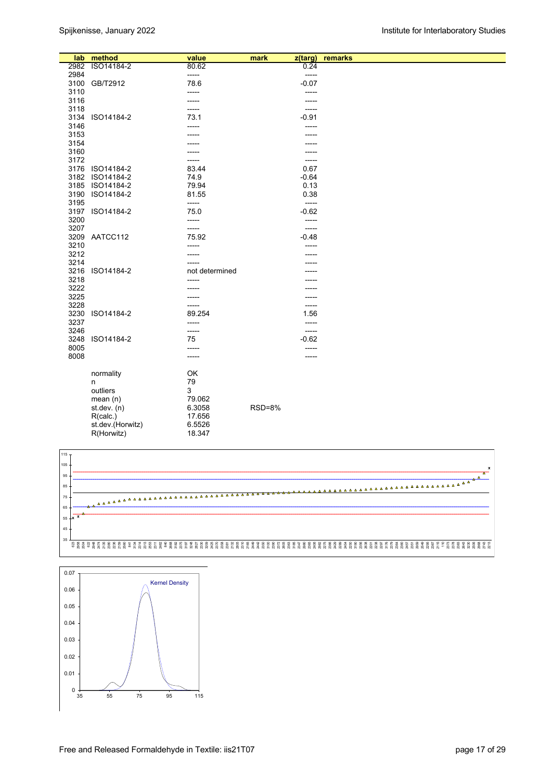|      | lab method       | value          | mark   | z(targ) | remarks |
|------|------------------|----------------|--------|---------|---------|
| 2982 | ISO14184-2       | 80.62          |        | 0.24    |         |
| 2984 |                  | -----          |        | -----   |         |
| 3100 | GB/T2912         | 78.6           |        | $-0.07$ |         |
| 3110 |                  | -----          |        | -----   |         |
| 3116 |                  | -----          |        | -----   |         |
| 3118 |                  | -----          |        | -----   |         |
| 3134 | ISO14184-2       | 73.1           |        | $-0.91$ |         |
| 3146 |                  | -----          |        |         |         |
| 3153 |                  |                |        |         |         |
| 3154 |                  |                |        |         |         |
| 3160 |                  |                |        |         |         |
| 3172 |                  | -----          |        |         |         |
| 3176 | ISO14184-2       | 83.44          |        | 0.67    |         |
| 3182 | ISO14184-2       | 74.9           |        | $-0.64$ |         |
| 3185 | ISO14184-2       | 79.94          |        | 0.13    |         |
| 3190 | ISO14184-2       | 81.55          |        | 0.38    |         |
| 3195 |                  | -----          |        | $-----$ |         |
|      | 3197 ISO14184-2  | 75.0           |        | $-0.62$ |         |
| 3200 |                  | -----          |        | -----   |         |
| 3207 |                  | -----          |        | -----   |         |
|      | 3209 AATCC112    | 75.92          |        | $-0.48$ |         |
| 3210 |                  | -----          |        |         |         |
| 3212 |                  | -----          |        |         |         |
| 3214 |                  | -----          |        |         |         |
| 3216 | ISO14184-2       | not determined |        |         |         |
| 3218 |                  | -----          |        |         |         |
| 3222 |                  |                |        |         |         |
| 3225 |                  | -----          |        |         |         |
| 3228 |                  | -----          |        |         |         |
| 3230 | ISO14184-2       | 89.254         |        | 1.56    |         |
| 3237 |                  | -----          |        | -----   |         |
| 3246 |                  | -----          |        | -----   |         |
| 3248 | ISO14184-2       | 75             |        | $-0.62$ |         |
| 8005 |                  | -----          |        | -----   |         |
| 8008 |                  | -----          |        | -----   |         |
|      |                  |                |        |         |         |
|      | normality        | OK             |        |         |         |
|      | n                | 79             |        |         |         |
|      | outliers         | 3              |        |         |         |
|      | mean $(n)$       | 79.062         |        |         |         |
|      | st.dev. (n)      | 6.3058         | RSD=8% |         |         |
|      | R(calc.)         | 17.656         |        |         |         |
|      | st.dev.(Horwitz) | 6.5526         |        |         |         |
|      | R(Horwitz)       | 18.347         |        |         |         |



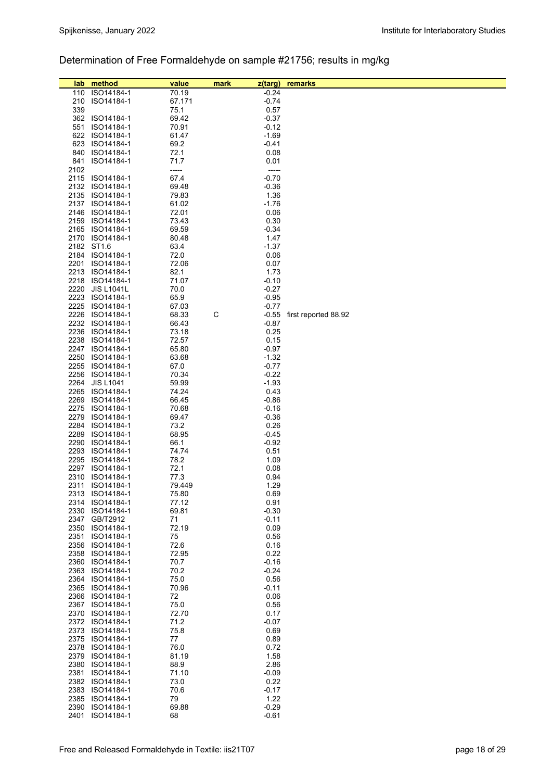# Determination of Free Formaldehyde on sample #21756; results in mg/kg

|      |                   |        |      |         | remarks              |
|------|-------------------|--------|------|---------|----------------------|
| lab  | method            | value  | mark | z(targ) |                      |
|      | 110 ISO14184-1    | 70.19  |      | $-0.24$ |                      |
| 210  | ISO14184-1        | 67.171 |      | $-0.74$ |                      |
| 339  |                   | 75.1   |      | 0.57    |                      |
|      | 362 ISO14184-1    | 69.42  |      | $-0.37$ |                      |
| 551  | ISO14184-1        | 70.91  |      | $-0.12$ |                      |
|      | 622 ISO14184-1    | 61.47  |      | $-1.69$ |                      |
|      | 623 ISO14184-1    | 69.2   |      | $-0.41$ |                      |
| 840  | ISO14184-1        | 72.1   |      | 0.08    |                      |
| 841  | ISO14184-1        | 71.7   |      | 0.01    |                      |
| 2102 |                   | -----  |      | -----   |                      |
|      | 2115 ISO14184-1   | 67.4   |      | $-0.70$ |                      |
|      | 2132 ISO14184-1   | 69.48  |      | $-0.36$ |                      |
|      | 2135 ISO14184-1   | 79.83  |      | 1.36    |                      |
|      | 2137 ISO14184-1   | 61.02  |      | $-1.76$ |                      |
|      | 2146 ISO14184-1   | 72.01  |      | 0.06    |                      |
|      | 2159 ISO14184-1   | 73.43  |      | 0.30    |                      |
|      | 2165 ISO14184-1   | 69.59  |      | $-0.34$ |                      |
|      | 2170 ISO14184-1   | 80.48  |      | 1.47    |                      |
|      | 2182 ST1.6        | 63.4   |      | $-1.37$ |                      |
|      |                   |        |      |         |                      |
|      | 2184 ISO14184-1   | 72.0   |      | 0.06    |                      |
|      | 2201 ISO14184-1   | 72.06  |      | 0.07    |                      |
|      | 2213 ISO14184-1   | 82.1   |      | 1.73    |                      |
|      | 2218 ISO14184-1   | 71.07  |      | $-0.10$ |                      |
| 2220 | <b>JIS L1041L</b> | 70.0   |      | $-0.27$ |                      |
|      | 2223 ISO14184-1   | 65.9   |      | $-0.95$ |                      |
|      | 2225 ISO14184-1   | 67.03  |      | $-0.77$ |                      |
|      | 2226 ISO14184-1   | 68.33  | С    | -0.55   | first reported 88.92 |
|      | 2232 ISO14184-1   | 66.43  |      | $-0.87$ |                      |
|      | 2236 ISO14184-1   | 73.18  |      | 0.25    |                      |
|      | 2238 ISO14184-1   | 72.57  |      | 0.15    |                      |
|      | 2247 ISO14184-1   | 65.80  |      | $-0.97$ |                      |
|      | 2250 ISO14184-1   | 63.68  |      | $-1.32$ |                      |
|      | 2255 ISO14184-1   | 67.0   |      | $-0.77$ |                      |
|      | 2256 ISO14184-1   | 70.34  |      | $-0.22$ |                      |
| 2264 | <b>JIS L1041</b>  | 59.99  |      | $-1.93$ |                      |
|      | 2265 ISO14184-1   | 74.24  |      | 0.43    |                      |
|      | 2269 ISO14184-1   | 66.45  |      | $-0.86$ |                      |
|      | 2275 ISO14184-1   | 70.68  |      | $-0.16$ |                      |
| 2279 | ISO14184-1        | 69.47  |      | $-0.36$ |                      |
|      | 2284 ISO14184-1   | 73.2   |      | 0.26    |                      |
|      | 2289 ISO14184-1   | 68.95  |      | $-0.45$ |                      |
|      | 2290 ISO14184-1   | 66.1   |      | $-0.92$ |                      |
|      | 2293 ISO14184-1   | 74.74  |      | 0.51    |                      |
|      | 2295 ISO14184-1   | 78.2   |      | 1.09    |                      |
|      | 2297 ISO14184-1   | 72.1   |      | 0.08    |                      |
|      | 2310 ISO14184-1   | 77.3   |      | 0.94    |                      |
| 2311 | ISO14184-1        | 79.449 |      | 1.29    |                      |
|      | 2313 ISO14184-1   | 75.80  |      | 0.69    |                      |
|      | 2314 ISO14184-1   | 77.12  |      | 0.91    |                      |
|      | 2330 ISO14184-1   | 69.81  |      | $-0.30$ |                      |
| 2347 | GB/T2912          | 71     |      | $-0.11$ |                      |
| 2350 | ISO14184-1        | 72.19  |      | 0.09    |                      |
| 2351 | ISO14184-1        | 75     |      | 0.56    |                      |
|      | 2356 ISO14184-1   | 72.6   |      | 0.16    |                      |
|      | 2358 ISO14184-1   | 72.95  |      | 0.22    |                      |
|      | 2360 ISO14184-1   | 70.7   |      | $-0.16$ |                      |
|      | 2363 ISO14184-1   | 70.2   |      | $-0.24$ |                      |
|      | 2364 ISO14184-1   | 75.0   |      | 0.56    |                      |
|      | 2365 ISO14184-1   | 70.96  |      | $-0.11$ |                      |
|      | 2366 ISO14184-1   | 72     |      | 0.06    |                      |
|      | 2367 ISO14184-1   | 75.0   |      | 0.56    |                      |
|      | 2370 ISO14184-1   | 72.70  |      | 0.17    |                      |
|      | 2372 ISO14184-1   | 71.2   |      | -0.07   |                      |
|      | 2373 ISO14184-1   | 75.8   |      | 0.69    |                      |
|      | 2375 ISO14184-1   | 77     |      | 0.89    |                      |
|      | 2378 ISO14184-1   | 76.0   |      | 0.72    |                      |
| 2379 | ISO14184-1        | 81.19  |      | 1.58    |                      |
|      | 2380 ISO14184-1   | 88.9   |      | 2.86    |                      |
| 2381 | ISO14184-1        | 71.10  |      | $-0.09$ |                      |
|      | 2382 ISO14184-1   | 73.0   |      | 0.22    |                      |
| 2383 | ISO14184-1        | 70.6   |      | $-0.17$ |                      |
|      | 2385 ISO14184-1   | 79     |      | 1.22    |                      |
| 2390 | ISO14184-1        | 69.88  |      | $-0.29$ |                      |
|      | 2401 ISO14184-1   | 68     |      | $-0.61$ |                      |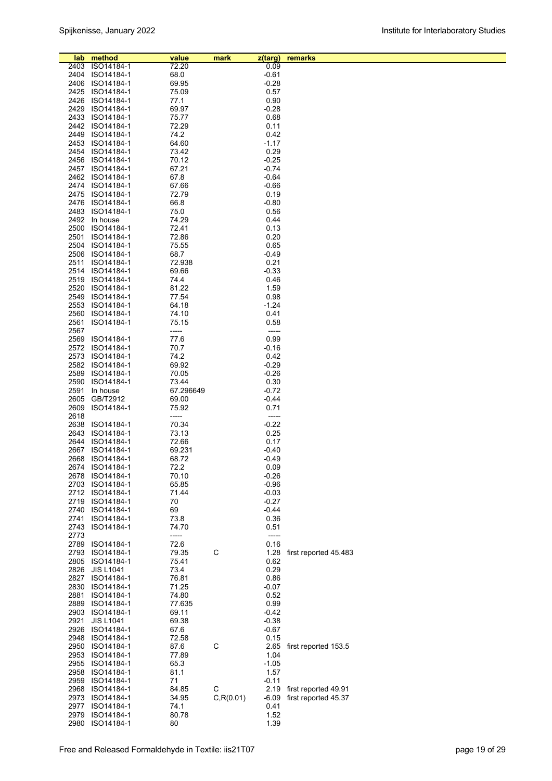| lab  | method           | value     | mark        | z(targ)      | remarks               |
|------|------------------|-----------|-------------|--------------|-----------------------|
| 2403 | ISO14184-1       | 72.20     |             | 0.09         |                       |
| 2404 | ISO14184-1       | 68.0      |             | $-0.61$      |                       |
|      |                  |           |             |              |                       |
| 2406 | ISO14184-1       | 69.95     |             | $-0.28$      |                       |
|      | 2425 ISO14184-1  | 75.09     |             | 0.57         |                       |
| 2426 | ISO14184-1       | 77.1      |             | 0.90         |                       |
| 2429 | ISO14184-1       | 69.97     |             | $-0.28$      |                       |
| 2433 | ISO14184-1       | 75.77     |             | 0.68         |                       |
|      | 2442 ISO14184-1  | 72.29     |             | 0.11         |                       |
| 2449 | ISO14184-1       | 74.2      |             | 0.42         |                       |
| 2453 | ISO14184-1       | 64.60     |             | $-1.17$      |                       |
|      | 2454 ISO14184-1  | 73.42     |             | 0.29         |                       |
|      | 2456 ISO14184-1  | 70.12     |             | $-0.25$      |                       |
|      | 2457 ISO14184-1  | 67.21     |             | $-0.74$      |                       |
|      | 2462 ISO14184-1  | 67.8      |             | $-0.64$      |                       |
|      | 2474 ISO14184-1  | 67.66     |             | $-0.66$      |                       |
|      |                  |           |             |              |                       |
| 2475 | ISO14184-1       | 72.79     |             | 0.19         |                       |
|      | 2476 ISO14184-1  | 66.8      |             | $-0.80$      |                       |
|      | 2483 ISO14184-1  | 75.0      |             | 0.56         |                       |
|      | 2492 In house    | 74.29     |             | 0.44         |                       |
| 2500 | ISO14184-1       | 72.41     |             | 0.13         |                       |
| 2501 | ISO14184-1       | 72.86     |             | 0.20         |                       |
| 2504 | ISO14184-1       | 75.55     |             | 0.65         |                       |
| 2506 | ISO14184-1       | 68.7      |             | $-0.49$      |                       |
| 2511 | ISO14184-1       | 72.938    |             | 0.21         |                       |
|      | 2514 ISO14184-1  | 69.66     |             | $-0.33$      |                       |
|      | 2519 ISO14184-1  | 74.4      |             | 0.46         |                       |
|      | 2520 ISO14184-1  | 81.22     |             | 1.59         |                       |
| 2549 | ISO14184-1       | 77.54     |             | 0.98         |                       |
| 2553 |                  | 64.18     |             | $-1.24$      |                       |
|      | ISO14184-1       |           |             |              |                       |
| 2560 | ISO14184-1       | 74.10     |             | 0.41         |                       |
| 2561 | ISO14184-1       | 75.15     |             | 0.58         |                       |
| 2567 |                  | -----     |             | -----        |                       |
| 2569 | ISO14184-1       | 77.6      |             | 0.99         |                       |
|      | 2572 ISO14184-1  | 70.7      |             | $-0.16$      |                       |
| 2573 | ISO14184-1       | 74.2      |             | 0.42         |                       |
|      | 2582 ISO14184-1  | 69.92     |             | $-0.29$      |                       |
| 2589 | ISO14184-1       | 70.05     |             | $-0.26$      |                       |
| 2590 | ISO14184-1       | 73.44     |             | 0.30         |                       |
| 2591 | In house         | 67.296649 |             | $-0.72$      |                       |
|      | 2605 GB/T2912    | 69.00     |             | -0.44        |                       |
| 2609 | ISO14184-1       | 75.92     |             | 0.71         |                       |
| 2618 |                  | -----     |             | -----        |                       |
| 2638 | ISO14184-1       | 70.34     |             | $-0.22$      |                       |
| 2643 | ISO14184-1       | 73.13     |             | 0.25         |                       |
| 2644 | ISO14184-1       | 72.66     |             | 0.17         |                       |
| 2667 | ISO14184-1       | 69.231    |             | $-0.40$      |                       |
| 2668 | ISO14184-1       | 68.72     |             | $-0.49$      |                       |
|      |                  |           |             |              |                       |
|      | 2674 ISO14184-1  | 72.2      |             | 0.09         |                       |
|      | 2678 ISO14184-1  | 70.10     |             | $-0.26$      |                       |
|      | 2703 ISO14184-1  | 65.85     |             | $-0.96$      |                       |
|      | 2712 ISO14184-1  | 71.44     |             | $-0.03$      |                       |
|      | 2719 ISO14184-1  | 70        |             | $-0.27$      |                       |
|      | 2740 ISO14184-1  | 69        |             | $-0.44$      |                       |
|      | 2741 ISO14184-1  | 73.8      |             | 0.36         |                       |
|      | 2743 ISO14184-1  | 74.70     |             | 0.51         |                       |
| 2773 |                  | -----     |             | -----        |                       |
|      | 2789 ISO14184-1  | 72.6      |             | 0.16         |                       |
|      | 2793 ISO14184-1  | 79.35     | $\mathsf C$ | 1.28         | first reported 45.483 |
|      | 2805 ISO14184-1  | 75.41     |             | 0.62         |                       |
|      | 2826 JIS L1041   | 73.4      |             | 0.29         |                       |
|      | 2827 ISO14184-1  | 76.81     |             | 0.86         |                       |
|      | 2830 ISO14184-1  | 71.25     |             | $-0.07$      |                       |
|      |                  |           |             |              |                       |
|      | 2881 ISO14184-1  | 74.80     |             | 0.52<br>0.99 |                       |
|      | 2889 ISO14184-1  | 77.635    |             |              |                       |
|      | 2903 ISO14184-1  | 69.11     |             | $-0.42$      |                       |
| 2921 | <b>JIS L1041</b> | 69.38     |             | $-0.38$      |                       |
|      | 2926 ISO14184-1  | 67.6      |             | $-0.67$      |                       |
|      | 2948 ISO14184-1  | 72.58     |             | 0.15         |                       |
|      | 2950 ISO14184-1  | 87.6      | С           | 2.65         | first reported 153.5  |
|      | 2953 ISO14184-1  | 77.89     |             | 1.04         |                       |
|      | 2955 ISO14184-1  | 65.3      |             | $-1.05$      |                       |
|      | 2958 ISO14184-1  | 81.1      |             | 1.57         |                       |
|      | 2959 ISO14184-1  | 71        |             | $-0.11$      |                       |
|      | 2968 ISO14184-1  | 84.85     | С           | 2.19         | first reported 49.91  |
|      | 2973 ISO14184-1  | 34.95     | C, R(0.01)  | $-6.09$      | first reported 45.37  |
|      | 2977 ISO14184-1  | 74.1      |             | 0.41         |                       |
| 2979 | ISO14184-1       | 80.78     |             | 1.52         |                       |
|      | 2980 ISO14184-1  | 80        |             | 1.39         |                       |
|      |                  |           |             |              |                       |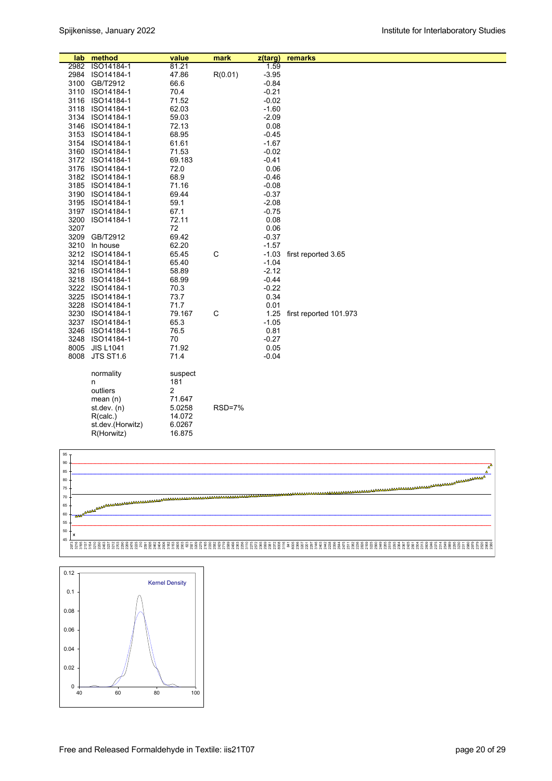| lab  | method           | value   | mark          | z(targ) | remarks                |
|------|------------------|---------|---------------|---------|------------------------|
| 2982 | ISO14184-1       | 81.21   |               | 1.59    |                        |
| 2984 | ISO14184-1       | 47.86   | R(0.01)       | $-3.95$ |                        |
| 3100 | GB/T2912         | 66.6    |               | $-0.84$ |                        |
| 3110 | ISO14184-1       | 70.4    |               | $-0.21$ |                        |
|      | 3116 ISO14184-1  | 71.52   |               | $-0.02$ |                        |
| 3118 | ISO14184-1       | 62.03   |               | $-1.60$ |                        |
| 3134 | ISO14184-1       | 59.03   |               | $-2.09$ |                        |
| 3146 | ISO14184-1       | 72.13   |               | 0.08    |                        |
| 3153 | ISO14184-1       | 68.95   |               | $-0.45$ |                        |
| 3154 | ISO14184-1       | 61.61   |               | $-1.67$ |                        |
| 3160 | ISO14184-1       | 71.53   |               | $-0.02$ |                        |
| 3172 | ISO14184-1       | 69.183  |               | $-0.41$ |                        |
|      | 3176 ISO14184-1  | 72.0    |               | 0.06    |                        |
|      | 3182 ISO14184-1  | 68.9    |               | $-0.46$ |                        |
|      | 3185 ISO14184-1  | 71.16   |               | $-0.08$ |                        |
| 3190 | ISO14184-1       | 69.44   |               | $-0.37$ |                        |
| 3195 | ISO14184-1       | 59.1    |               | $-2.08$ |                        |
| 3197 | ISO14184-1       | 67.1    |               | $-0.75$ |                        |
| 3200 | ISO14184-1       | 72.11   |               | 0.08    |                        |
| 3207 |                  | 72      |               | 0.06    |                        |
| 3209 | GB/T2912         | 69.42   |               | $-0.37$ |                        |
| 3210 | In house         | 62.20   |               | $-1.57$ |                        |
| 3212 | ISO14184-1       | 65.45   | $\mathsf C$   | $-1.03$ | first reported 3.65    |
| 3214 | ISO14184-1       | 65.40   |               | $-1.04$ |                        |
|      | 3216 ISO14184-1  | 58.89   |               | $-2.12$ |                        |
|      | 3218 ISO14184-1  | 68.99   |               | $-0.44$ |                        |
| 3222 | ISO14184-1       | 70.3    |               | $-0.22$ |                        |
|      | 3225 ISO14184-1  | 73.7    |               | 0.34    |                        |
| 3228 | ISO14184-1       | 71.7    |               | 0.01    |                        |
|      | 3230 ISO14184-1  | 79.167  | $\mathsf C$   | 1.25    | first reported 101.973 |
| 3237 | ISO14184-1       | 65.3    |               | $-1.05$ |                        |
| 3246 | ISO14184-1       | 76.5    |               | 0.81    |                        |
| 3248 | ISO14184-1       | 70      |               | $-0.27$ |                        |
| 8005 | <b>JIS L1041</b> | 71.92   |               | 0.05    |                        |
| 8008 | <b>JTS ST1.6</b> | 71.4    |               | $-0.04$ |                        |
|      | normality        | suspect |               |         |                        |
|      | n                | 181     |               |         |                        |
|      | outliers         | 2       |               |         |                        |
|      | mean $(n)$       | 71.647  |               |         |                        |
|      | st. dev. (n)     | 5.0258  | <b>RSD=7%</b> |         |                        |
|      | R(calc.)         | 14.072  |               |         |                        |
|      | st.dev.(Horwitz) | 6.0267  |               |         |                        |
|      | R(Horwitz)       | 16.875  |               |         |                        |
|      |                  |         |               |         |                        |



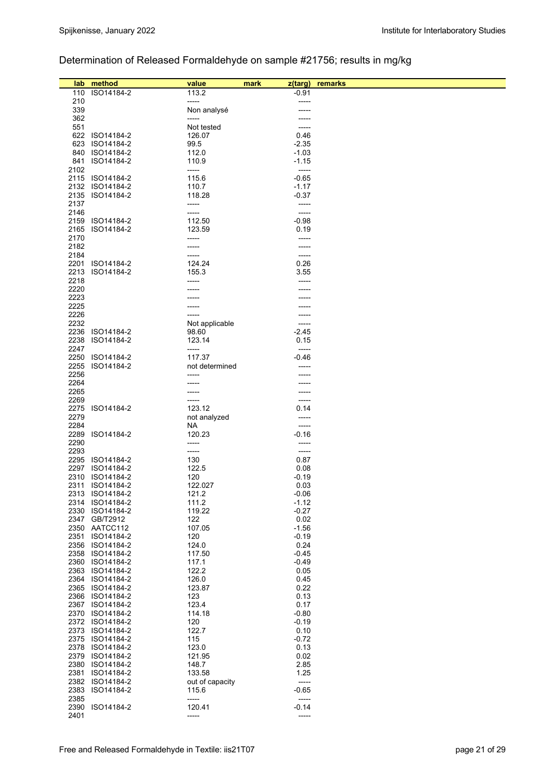# Determination of Released Formaldehyde on sample #21756; results in mg/kg

| method<br>$z$ (targ)<br>lab<br>value<br>mark<br>remarks<br>110<br>ISO14184-2<br>113.2<br>$-0.91$<br>210<br>-----<br>-----<br>339<br>Non analysé<br>362<br>-----<br>551<br>Not tested<br>-----<br>622 ISO14184-2<br>0.46<br>126.07<br>623 ISO14184-2<br>$-2.35$<br>99.5<br>840<br>ISO14184-2<br>112.0<br>$-1.03$<br>841<br>ISO14184-2<br>110.9<br>$-1.15$<br>2102<br>-----<br>$-----$<br>$-0.65$<br>2115 ISO14184-2<br>115.6<br>2132 ISO14184-2<br>$-1.17$<br>110.7<br>$-0.37$<br>2135 ISO14184-2<br>118.28<br>2137<br>-----<br>-----<br>2146<br>-----<br>-----<br>2159<br>ISO14184-2<br>112.50<br>$-0.98$<br>0.19<br>2165<br>ISO14184-2<br>123.59<br>2170<br>-----<br>-----<br>2182<br>-----<br>-----<br>2184<br>-----<br>-----<br>0.26<br>2201<br>ISO14184-2<br>124.24<br>ISO14184-2<br>155.3<br>3.55<br>2213<br>2218<br>-----<br>-----<br>2220<br>2223<br>2225<br>2226<br>-----<br>2232<br>Not applicable<br>-----<br>2236 ISO14184-2<br>98.60<br>$-2.45$<br>2238<br>ISO14184-2<br>123.14<br>0.15<br>2247<br>-----<br>-----<br>2250<br>ISO14184-2<br>117.37<br>$-0.46$<br>2255<br>ISO14184-2<br>not determined<br>2256<br>-----<br>2264<br>2265<br>-----<br>-----<br>2269<br>-----<br>-----<br>2275<br>ISO14184-2<br>123.12<br>0.14<br>2279<br>not analyzed<br>-----<br>2284<br>NA.<br>-----<br>$-0.16$<br>2289<br>ISO14184-2<br>120.23<br>2290<br>-----<br>-----<br>2293<br>-----<br>-----<br>2295 ISO14184-2<br>130<br>0.87<br>2297<br>ISO14184-2<br>122.5<br>0.08<br>2310 ISO14184-2<br>120<br>$-0.19$<br>122.027<br>0.03<br>2311<br>ISO14184-2<br>2313 ISO14184-2<br>121.2<br>$-0.06$<br>2314 ISO14184-2<br>111.2<br>$-1.12$<br>$-0.27$<br>2330 ISO14184-2<br>119.22<br>2347 GB/T2912<br>122<br>0.02<br>2350 AATCC112<br>107.05<br>$-1.56$<br>2351<br>ISO14184-2<br>120<br>$-0.19$<br>0.24<br>2356 ISO14184-2<br>124.0<br>2358<br>$-0.45$<br>ISO14184-2<br>117.50<br>2360<br>ISO14184-2<br>117.1<br>$-0.49$<br>2363 ISO14184-2<br>122.2<br>0.05<br>2364 ISO14184-2<br>126.0<br>0.45<br>2365 ISO14184-2<br>123.87<br>0.22<br>2366 ISO14184-2<br>123<br>0.13<br>2367 ISO14184-2<br>123.4<br>0.17<br>2370 ISO14184-2<br>114.18<br>$-0.80$<br>2372 ISO14184-2<br>120<br>$-0.19$<br>2373 ISO14184-2<br>122.7<br>0.10<br>2375 ISO14184-2<br>115<br>$-0.72$<br>2378 ISO14184-2<br>123.0<br>0.13<br>2379<br>0.02<br>ISO14184-2<br>121.95<br>2380 ISO14184-2<br>148.7<br>2.85<br>1.25<br>2381<br>ISO14184-2<br>133.58<br>2382<br>ISO14184-2<br>out of capacity<br>-----<br>$-0.65$<br>2383<br>ISO14184-2<br>115.6<br>2385<br>-----<br>-----<br>2390 ISO14184-2 |  |        |         |  |
|-------------------------------------------------------------------------------------------------------------------------------------------------------------------------------------------------------------------------------------------------------------------------------------------------------------------------------------------------------------------------------------------------------------------------------------------------------------------------------------------------------------------------------------------------------------------------------------------------------------------------------------------------------------------------------------------------------------------------------------------------------------------------------------------------------------------------------------------------------------------------------------------------------------------------------------------------------------------------------------------------------------------------------------------------------------------------------------------------------------------------------------------------------------------------------------------------------------------------------------------------------------------------------------------------------------------------------------------------------------------------------------------------------------------------------------------------------------------------------------------------------------------------------------------------------------------------------------------------------------------------------------------------------------------------------------------------------------------------------------------------------------------------------------------------------------------------------------------------------------------------------------------------------------------------------------------------------------------------------------------------------------------------------------------------------------------------------------------------------------------------------------------------------------------------------------------------------------------------------------------------------------------------------------------------------------------------------------------------------------------------------------------------------------------------------------------------------------------------------------------------------------------------------------------------------------|--|--------|---------|--|
|                                                                                                                                                                                                                                                                                                                                                                                                                                                                                                                                                                                                                                                                                                                                                                                                                                                                                                                                                                                                                                                                                                                                                                                                                                                                                                                                                                                                                                                                                                                                                                                                                                                                                                                                                                                                                                                                                                                                                                                                                                                                                                                                                                                                                                                                                                                                                                                                                                                                                                                                                             |  |        |         |  |
|                                                                                                                                                                                                                                                                                                                                                                                                                                                                                                                                                                                                                                                                                                                                                                                                                                                                                                                                                                                                                                                                                                                                                                                                                                                                                                                                                                                                                                                                                                                                                                                                                                                                                                                                                                                                                                                                                                                                                                                                                                                                                                                                                                                                                                                                                                                                                                                                                                                                                                                                                             |  |        |         |  |
|                                                                                                                                                                                                                                                                                                                                                                                                                                                                                                                                                                                                                                                                                                                                                                                                                                                                                                                                                                                                                                                                                                                                                                                                                                                                                                                                                                                                                                                                                                                                                                                                                                                                                                                                                                                                                                                                                                                                                                                                                                                                                                                                                                                                                                                                                                                                                                                                                                                                                                                                                             |  |        |         |  |
|                                                                                                                                                                                                                                                                                                                                                                                                                                                                                                                                                                                                                                                                                                                                                                                                                                                                                                                                                                                                                                                                                                                                                                                                                                                                                                                                                                                                                                                                                                                                                                                                                                                                                                                                                                                                                                                                                                                                                                                                                                                                                                                                                                                                                                                                                                                                                                                                                                                                                                                                                             |  |        |         |  |
|                                                                                                                                                                                                                                                                                                                                                                                                                                                                                                                                                                                                                                                                                                                                                                                                                                                                                                                                                                                                                                                                                                                                                                                                                                                                                                                                                                                                                                                                                                                                                                                                                                                                                                                                                                                                                                                                                                                                                                                                                                                                                                                                                                                                                                                                                                                                                                                                                                                                                                                                                             |  |        |         |  |
|                                                                                                                                                                                                                                                                                                                                                                                                                                                                                                                                                                                                                                                                                                                                                                                                                                                                                                                                                                                                                                                                                                                                                                                                                                                                                                                                                                                                                                                                                                                                                                                                                                                                                                                                                                                                                                                                                                                                                                                                                                                                                                                                                                                                                                                                                                                                                                                                                                                                                                                                                             |  |        |         |  |
|                                                                                                                                                                                                                                                                                                                                                                                                                                                                                                                                                                                                                                                                                                                                                                                                                                                                                                                                                                                                                                                                                                                                                                                                                                                                                                                                                                                                                                                                                                                                                                                                                                                                                                                                                                                                                                                                                                                                                                                                                                                                                                                                                                                                                                                                                                                                                                                                                                                                                                                                                             |  |        |         |  |
|                                                                                                                                                                                                                                                                                                                                                                                                                                                                                                                                                                                                                                                                                                                                                                                                                                                                                                                                                                                                                                                                                                                                                                                                                                                                                                                                                                                                                                                                                                                                                                                                                                                                                                                                                                                                                                                                                                                                                                                                                                                                                                                                                                                                                                                                                                                                                                                                                                                                                                                                                             |  |        |         |  |
|                                                                                                                                                                                                                                                                                                                                                                                                                                                                                                                                                                                                                                                                                                                                                                                                                                                                                                                                                                                                                                                                                                                                                                                                                                                                                                                                                                                                                                                                                                                                                                                                                                                                                                                                                                                                                                                                                                                                                                                                                                                                                                                                                                                                                                                                                                                                                                                                                                                                                                                                                             |  |        |         |  |
|                                                                                                                                                                                                                                                                                                                                                                                                                                                                                                                                                                                                                                                                                                                                                                                                                                                                                                                                                                                                                                                                                                                                                                                                                                                                                                                                                                                                                                                                                                                                                                                                                                                                                                                                                                                                                                                                                                                                                                                                                                                                                                                                                                                                                                                                                                                                                                                                                                                                                                                                                             |  |        |         |  |
|                                                                                                                                                                                                                                                                                                                                                                                                                                                                                                                                                                                                                                                                                                                                                                                                                                                                                                                                                                                                                                                                                                                                                                                                                                                                                                                                                                                                                                                                                                                                                                                                                                                                                                                                                                                                                                                                                                                                                                                                                                                                                                                                                                                                                                                                                                                                                                                                                                                                                                                                                             |  |        |         |  |
|                                                                                                                                                                                                                                                                                                                                                                                                                                                                                                                                                                                                                                                                                                                                                                                                                                                                                                                                                                                                                                                                                                                                                                                                                                                                                                                                                                                                                                                                                                                                                                                                                                                                                                                                                                                                                                                                                                                                                                                                                                                                                                                                                                                                                                                                                                                                                                                                                                                                                                                                                             |  |        |         |  |
|                                                                                                                                                                                                                                                                                                                                                                                                                                                                                                                                                                                                                                                                                                                                                                                                                                                                                                                                                                                                                                                                                                                                                                                                                                                                                                                                                                                                                                                                                                                                                                                                                                                                                                                                                                                                                                                                                                                                                                                                                                                                                                                                                                                                                                                                                                                                                                                                                                                                                                                                                             |  |        |         |  |
|                                                                                                                                                                                                                                                                                                                                                                                                                                                                                                                                                                                                                                                                                                                                                                                                                                                                                                                                                                                                                                                                                                                                                                                                                                                                                                                                                                                                                                                                                                                                                                                                                                                                                                                                                                                                                                                                                                                                                                                                                                                                                                                                                                                                                                                                                                                                                                                                                                                                                                                                                             |  |        |         |  |
|                                                                                                                                                                                                                                                                                                                                                                                                                                                                                                                                                                                                                                                                                                                                                                                                                                                                                                                                                                                                                                                                                                                                                                                                                                                                                                                                                                                                                                                                                                                                                                                                                                                                                                                                                                                                                                                                                                                                                                                                                                                                                                                                                                                                                                                                                                                                                                                                                                                                                                                                                             |  |        |         |  |
|                                                                                                                                                                                                                                                                                                                                                                                                                                                                                                                                                                                                                                                                                                                                                                                                                                                                                                                                                                                                                                                                                                                                                                                                                                                                                                                                                                                                                                                                                                                                                                                                                                                                                                                                                                                                                                                                                                                                                                                                                                                                                                                                                                                                                                                                                                                                                                                                                                                                                                                                                             |  |        |         |  |
|                                                                                                                                                                                                                                                                                                                                                                                                                                                                                                                                                                                                                                                                                                                                                                                                                                                                                                                                                                                                                                                                                                                                                                                                                                                                                                                                                                                                                                                                                                                                                                                                                                                                                                                                                                                                                                                                                                                                                                                                                                                                                                                                                                                                                                                                                                                                                                                                                                                                                                                                                             |  |        |         |  |
|                                                                                                                                                                                                                                                                                                                                                                                                                                                                                                                                                                                                                                                                                                                                                                                                                                                                                                                                                                                                                                                                                                                                                                                                                                                                                                                                                                                                                                                                                                                                                                                                                                                                                                                                                                                                                                                                                                                                                                                                                                                                                                                                                                                                                                                                                                                                                                                                                                                                                                                                                             |  |        |         |  |
|                                                                                                                                                                                                                                                                                                                                                                                                                                                                                                                                                                                                                                                                                                                                                                                                                                                                                                                                                                                                                                                                                                                                                                                                                                                                                                                                                                                                                                                                                                                                                                                                                                                                                                                                                                                                                                                                                                                                                                                                                                                                                                                                                                                                                                                                                                                                                                                                                                                                                                                                                             |  |        |         |  |
|                                                                                                                                                                                                                                                                                                                                                                                                                                                                                                                                                                                                                                                                                                                                                                                                                                                                                                                                                                                                                                                                                                                                                                                                                                                                                                                                                                                                                                                                                                                                                                                                                                                                                                                                                                                                                                                                                                                                                                                                                                                                                                                                                                                                                                                                                                                                                                                                                                                                                                                                                             |  |        |         |  |
|                                                                                                                                                                                                                                                                                                                                                                                                                                                                                                                                                                                                                                                                                                                                                                                                                                                                                                                                                                                                                                                                                                                                                                                                                                                                                                                                                                                                                                                                                                                                                                                                                                                                                                                                                                                                                                                                                                                                                                                                                                                                                                                                                                                                                                                                                                                                                                                                                                                                                                                                                             |  |        |         |  |
|                                                                                                                                                                                                                                                                                                                                                                                                                                                                                                                                                                                                                                                                                                                                                                                                                                                                                                                                                                                                                                                                                                                                                                                                                                                                                                                                                                                                                                                                                                                                                                                                                                                                                                                                                                                                                                                                                                                                                                                                                                                                                                                                                                                                                                                                                                                                                                                                                                                                                                                                                             |  |        |         |  |
|                                                                                                                                                                                                                                                                                                                                                                                                                                                                                                                                                                                                                                                                                                                                                                                                                                                                                                                                                                                                                                                                                                                                                                                                                                                                                                                                                                                                                                                                                                                                                                                                                                                                                                                                                                                                                                                                                                                                                                                                                                                                                                                                                                                                                                                                                                                                                                                                                                                                                                                                                             |  |        |         |  |
|                                                                                                                                                                                                                                                                                                                                                                                                                                                                                                                                                                                                                                                                                                                                                                                                                                                                                                                                                                                                                                                                                                                                                                                                                                                                                                                                                                                                                                                                                                                                                                                                                                                                                                                                                                                                                                                                                                                                                                                                                                                                                                                                                                                                                                                                                                                                                                                                                                                                                                                                                             |  |        |         |  |
|                                                                                                                                                                                                                                                                                                                                                                                                                                                                                                                                                                                                                                                                                                                                                                                                                                                                                                                                                                                                                                                                                                                                                                                                                                                                                                                                                                                                                                                                                                                                                                                                                                                                                                                                                                                                                                                                                                                                                                                                                                                                                                                                                                                                                                                                                                                                                                                                                                                                                                                                                             |  |        |         |  |
|                                                                                                                                                                                                                                                                                                                                                                                                                                                                                                                                                                                                                                                                                                                                                                                                                                                                                                                                                                                                                                                                                                                                                                                                                                                                                                                                                                                                                                                                                                                                                                                                                                                                                                                                                                                                                                                                                                                                                                                                                                                                                                                                                                                                                                                                                                                                                                                                                                                                                                                                                             |  |        |         |  |
|                                                                                                                                                                                                                                                                                                                                                                                                                                                                                                                                                                                                                                                                                                                                                                                                                                                                                                                                                                                                                                                                                                                                                                                                                                                                                                                                                                                                                                                                                                                                                                                                                                                                                                                                                                                                                                                                                                                                                                                                                                                                                                                                                                                                                                                                                                                                                                                                                                                                                                                                                             |  |        |         |  |
|                                                                                                                                                                                                                                                                                                                                                                                                                                                                                                                                                                                                                                                                                                                                                                                                                                                                                                                                                                                                                                                                                                                                                                                                                                                                                                                                                                                                                                                                                                                                                                                                                                                                                                                                                                                                                                                                                                                                                                                                                                                                                                                                                                                                                                                                                                                                                                                                                                                                                                                                                             |  |        |         |  |
|                                                                                                                                                                                                                                                                                                                                                                                                                                                                                                                                                                                                                                                                                                                                                                                                                                                                                                                                                                                                                                                                                                                                                                                                                                                                                                                                                                                                                                                                                                                                                                                                                                                                                                                                                                                                                                                                                                                                                                                                                                                                                                                                                                                                                                                                                                                                                                                                                                                                                                                                                             |  |        |         |  |
|                                                                                                                                                                                                                                                                                                                                                                                                                                                                                                                                                                                                                                                                                                                                                                                                                                                                                                                                                                                                                                                                                                                                                                                                                                                                                                                                                                                                                                                                                                                                                                                                                                                                                                                                                                                                                                                                                                                                                                                                                                                                                                                                                                                                                                                                                                                                                                                                                                                                                                                                                             |  |        |         |  |
|                                                                                                                                                                                                                                                                                                                                                                                                                                                                                                                                                                                                                                                                                                                                                                                                                                                                                                                                                                                                                                                                                                                                                                                                                                                                                                                                                                                                                                                                                                                                                                                                                                                                                                                                                                                                                                                                                                                                                                                                                                                                                                                                                                                                                                                                                                                                                                                                                                                                                                                                                             |  |        |         |  |
|                                                                                                                                                                                                                                                                                                                                                                                                                                                                                                                                                                                                                                                                                                                                                                                                                                                                                                                                                                                                                                                                                                                                                                                                                                                                                                                                                                                                                                                                                                                                                                                                                                                                                                                                                                                                                                                                                                                                                                                                                                                                                                                                                                                                                                                                                                                                                                                                                                                                                                                                                             |  |        |         |  |
|                                                                                                                                                                                                                                                                                                                                                                                                                                                                                                                                                                                                                                                                                                                                                                                                                                                                                                                                                                                                                                                                                                                                                                                                                                                                                                                                                                                                                                                                                                                                                                                                                                                                                                                                                                                                                                                                                                                                                                                                                                                                                                                                                                                                                                                                                                                                                                                                                                                                                                                                                             |  |        |         |  |
|                                                                                                                                                                                                                                                                                                                                                                                                                                                                                                                                                                                                                                                                                                                                                                                                                                                                                                                                                                                                                                                                                                                                                                                                                                                                                                                                                                                                                                                                                                                                                                                                                                                                                                                                                                                                                                                                                                                                                                                                                                                                                                                                                                                                                                                                                                                                                                                                                                                                                                                                                             |  |        |         |  |
|                                                                                                                                                                                                                                                                                                                                                                                                                                                                                                                                                                                                                                                                                                                                                                                                                                                                                                                                                                                                                                                                                                                                                                                                                                                                                                                                                                                                                                                                                                                                                                                                                                                                                                                                                                                                                                                                                                                                                                                                                                                                                                                                                                                                                                                                                                                                                                                                                                                                                                                                                             |  |        |         |  |
|                                                                                                                                                                                                                                                                                                                                                                                                                                                                                                                                                                                                                                                                                                                                                                                                                                                                                                                                                                                                                                                                                                                                                                                                                                                                                                                                                                                                                                                                                                                                                                                                                                                                                                                                                                                                                                                                                                                                                                                                                                                                                                                                                                                                                                                                                                                                                                                                                                                                                                                                                             |  |        |         |  |
|                                                                                                                                                                                                                                                                                                                                                                                                                                                                                                                                                                                                                                                                                                                                                                                                                                                                                                                                                                                                                                                                                                                                                                                                                                                                                                                                                                                                                                                                                                                                                                                                                                                                                                                                                                                                                                                                                                                                                                                                                                                                                                                                                                                                                                                                                                                                                                                                                                                                                                                                                             |  |        |         |  |
|                                                                                                                                                                                                                                                                                                                                                                                                                                                                                                                                                                                                                                                                                                                                                                                                                                                                                                                                                                                                                                                                                                                                                                                                                                                                                                                                                                                                                                                                                                                                                                                                                                                                                                                                                                                                                                                                                                                                                                                                                                                                                                                                                                                                                                                                                                                                                                                                                                                                                                                                                             |  |        |         |  |
|                                                                                                                                                                                                                                                                                                                                                                                                                                                                                                                                                                                                                                                                                                                                                                                                                                                                                                                                                                                                                                                                                                                                                                                                                                                                                                                                                                                                                                                                                                                                                                                                                                                                                                                                                                                                                                                                                                                                                                                                                                                                                                                                                                                                                                                                                                                                                                                                                                                                                                                                                             |  |        |         |  |
|                                                                                                                                                                                                                                                                                                                                                                                                                                                                                                                                                                                                                                                                                                                                                                                                                                                                                                                                                                                                                                                                                                                                                                                                                                                                                                                                                                                                                                                                                                                                                                                                                                                                                                                                                                                                                                                                                                                                                                                                                                                                                                                                                                                                                                                                                                                                                                                                                                                                                                                                                             |  |        |         |  |
|                                                                                                                                                                                                                                                                                                                                                                                                                                                                                                                                                                                                                                                                                                                                                                                                                                                                                                                                                                                                                                                                                                                                                                                                                                                                                                                                                                                                                                                                                                                                                                                                                                                                                                                                                                                                                                                                                                                                                                                                                                                                                                                                                                                                                                                                                                                                                                                                                                                                                                                                                             |  |        |         |  |
|                                                                                                                                                                                                                                                                                                                                                                                                                                                                                                                                                                                                                                                                                                                                                                                                                                                                                                                                                                                                                                                                                                                                                                                                                                                                                                                                                                                                                                                                                                                                                                                                                                                                                                                                                                                                                                                                                                                                                                                                                                                                                                                                                                                                                                                                                                                                                                                                                                                                                                                                                             |  |        |         |  |
|                                                                                                                                                                                                                                                                                                                                                                                                                                                                                                                                                                                                                                                                                                                                                                                                                                                                                                                                                                                                                                                                                                                                                                                                                                                                                                                                                                                                                                                                                                                                                                                                                                                                                                                                                                                                                                                                                                                                                                                                                                                                                                                                                                                                                                                                                                                                                                                                                                                                                                                                                             |  |        |         |  |
|                                                                                                                                                                                                                                                                                                                                                                                                                                                                                                                                                                                                                                                                                                                                                                                                                                                                                                                                                                                                                                                                                                                                                                                                                                                                                                                                                                                                                                                                                                                                                                                                                                                                                                                                                                                                                                                                                                                                                                                                                                                                                                                                                                                                                                                                                                                                                                                                                                                                                                                                                             |  |        |         |  |
|                                                                                                                                                                                                                                                                                                                                                                                                                                                                                                                                                                                                                                                                                                                                                                                                                                                                                                                                                                                                                                                                                                                                                                                                                                                                                                                                                                                                                                                                                                                                                                                                                                                                                                                                                                                                                                                                                                                                                                                                                                                                                                                                                                                                                                                                                                                                                                                                                                                                                                                                                             |  |        |         |  |
|                                                                                                                                                                                                                                                                                                                                                                                                                                                                                                                                                                                                                                                                                                                                                                                                                                                                                                                                                                                                                                                                                                                                                                                                                                                                                                                                                                                                                                                                                                                                                                                                                                                                                                                                                                                                                                                                                                                                                                                                                                                                                                                                                                                                                                                                                                                                                                                                                                                                                                                                                             |  |        |         |  |
|                                                                                                                                                                                                                                                                                                                                                                                                                                                                                                                                                                                                                                                                                                                                                                                                                                                                                                                                                                                                                                                                                                                                                                                                                                                                                                                                                                                                                                                                                                                                                                                                                                                                                                                                                                                                                                                                                                                                                                                                                                                                                                                                                                                                                                                                                                                                                                                                                                                                                                                                                             |  |        |         |  |
|                                                                                                                                                                                                                                                                                                                                                                                                                                                                                                                                                                                                                                                                                                                                                                                                                                                                                                                                                                                                                                                                                                                                                                                                                                                                                                                                                                                                                                                                                                                                                                                                                                                                                                                                                                                                                                                                                                                                                                                                                                                                                                                                                                                                                                                                                                                                                                                                                                                                                                                                                             |  |        |         |  |
|                                                                                                                                                                                                                                                                                                                                                                                                                                                                                                                                                                                                                                                                                                                                                                                                                                                                                                                                                                                                                                                                                                                                                                                                                                                                                                                                                                                                                                                                                                                                                                                                                                                                                                                                                                                                                                                                                                                                                                                                                                                                                                                                                                                                                                                                                                                                                                                                                                                                                                                                                             |  |        |         |  |
|                                                                                                                                                                                                                                                                                                                                                                                                                                                                                                                                                                                                                                                                                                                                                                                                                                                                                                                                                                                                                                                                                                                                                                                                                                                                                                                                                                                                                                                                                                                                                                                                                                                                                                                                                                                                                                                                                                                                                                                                                                                                                                                                                                                                                                                                                                                                                                                                                                                                                                                                                             |  |        |         |  |
|                                                                                                                                                                                                                                                                                                                                                                                                                                                                                                                                                                                                                                                                                                                                                                                                                                                                                                                                                                                                                                                                                                                                                                                                                                                                                                                                                                                                                                                                                                                                                                                                                                                                                                                                                                                                                                                                                                                                                                                                                                                                                                                                                                                                                                                                                                                                                                                                                                                                                                                                                             |  |        |         |  |
|                                                                                                                                                                                                                                                                                                                                                                                                                                                                                                                                                                                                                                                                                                                                                                                                                                                                                                                                                                                                                                                                                                                                                                                                                                                                                                                                                                                                                                                                                                                                                                                                                                                                                                                                                                                                                                                                                                                                                                                                                                                                                                                                                                                                                                                                                                                                                                                                                                                                                                                                                             |  |        |         |  |
|                                                                                                                                                                                                                                                                                                                                                                                                                                                                                                                                                                                                                                                                                                                                                                                                                                                                                                                                                                                                                                                                                                                                                                                                                                                                                                                                                                                                                                                                                                                                                                                                                                                                                                                                                                                                                                                                                                                                                                                                                                                                                                                                                                                                                                                                                                                                                                                                                                                                                                                                                             |  |        |         |  |
|                                                                                                                                                                                                                                                                                                                                                                                                                                                                                                                                                                                                                                                                                                                                                                                                                                                                                                                                                                                                                                                                                                                                                                                                                                                                                                                                                                                                                                                                                                                                                                                                                                                                                                                                                                                                                                                                                                                                                                                                                                                                                                                                                                                                                                                                                                                                                                                                                                                                                                                                                             |  |        |         |  |
|                                                                                                                                                                                                                                                                                                                                                                                                                                                                                                                                                                                                                                                                                                                                                                                                                                                                                                                                                                                                                                                                                                                                                                                                                                                                                                                                                                                                                                                                                                                                                                                                                                                                                                                                                                                                                                                                                                                                                                                                                                                                                                                                                                                                                                                                                                                                                                                                                                                                                                                                                             |  |        |         |  |
|                                                                                                                                                                                                                                                                                                                                                                                                                                                                                                                                                                                                                                                                                                                                                                                                                                                                                                                                                                                                                                                                                                                                                                                                                                                                                                                                                                                                                                                                                                                                                                                                                                                                                                                                                                                                                                                                                                                                                                                                                                                                                                                                                                                                                                                                                                                                                                                                                                                                                                                                                             |  |        |         |  |
|                                                                                                                                                                                                                                                                                                                                                                                                                                                                                                                                                                                                                                                                                                                                                                                                                                                                                                                                                                                                                                                                                                                                                                                                                                                                                                                                                                                                                                                                                                                                                                                                                                                                                                                                                                                                                                                                                                                                                                                                                                                                                                                                                                                                                                                                                                                                                                                                                                                                                                                                                             |  |        |         |  |
|                                                                                                                                                                                                                                                                                                                                                                                                                                                                                                                                                                                                                                                                                                                                                                                                                                                                                                                                                                                                                                                                                                                                                                                                                                                                                                                                                                                                                                                                                                                                                                                                                                                                                                                                                                                                                                                                                                                                                                                                                                                                                                                                                                                                                                                                                                                                                                                                                                                                                                                                                             |  |        |         |  |
|                                                                                                                                                                                                                                                                                                                                                                                                                                                                                                                                                                                                                                                                                                                                                                                                                                                                                                                                                                                                                                                                                                                                                                                                                                                                                                                                                                                                                                                                                                                                                                                                                                                                                                                                                                                                                                                                                                                                                                                                                                                                                                                                                                                                                                                                                                                                                                                                                                                                                                                                                             |  |        |         |  |
|                                                                                                                                                                                                                                                                                                                                                                                                                                                                                                                                                                                                                                                                                                                                                                                                                                                                                                                                                                                                                                                                                                                                                                                                                                                                                                                                                                                                                                                                                                                                                                                                                                                                                                                                                                                                                                                                                                                                                                                                                                                                                                                                                                                                                                                                                                                                                                                                                                                                                                                                                             |  |        |         |  |
|                                                                                                                                                                                                                                                                                                                                                                                                                                                                                                                                                                                                                                                                                                                                                                                                                                                                                                                                                                                                                                                                                                                                                                                                                                                                                                                                                                                                                                                                                                                                                                                                                                                                                                                                                                                                                                                                                                                                                                                                                                                                                                                                                                                                                                                                                                                                                                                                                                                                                                                                                             |  |        |         |  |
|                                                                                                                                                                                                                                                                                                                                                                                                                                                                                                                                                                                                                                                                                                                                                                                                                                                                                                                                                                                                                                                                                                                                                                                                                                                                                                                                                                                                                                                                                                                                                                                                                                                                                                                                                                                                                                                                                                                                                                                                                                                                                                                                                                                                                                                                                                                                                                                                                                                                                                                                                             |  |        |         |  |
|                                                                                                                                                                                                                                                                                                                                                                                                                                                                                                                                                                                                                                                                                                                                                                                                                                                                                                                                                                                                                                                                                                                                                                                                                                                                                                                                                                                                                                                                                                                                                                                                                                                                                                                                                                                                                                                                                                                                                                                                                                                                                                                                                                                                                                                                                                                                                                                                                                                                                                                                                             |  |        |         |  |
|                                                                                                                                                                                                                                                                                                                                                                                                                                                                                                                                                                                                                                                                                                                                                                                                                                                                                                                                                                                                                                                                                                                                                                                                                                                                                                                                                                                                                                                                                                                                                                                                                                                                                                                                                                                                                                                                                                                                                                                                                                                                                                                                                                                                                                                                                                                                                                                                                                                                                                                                                             |  |        |         |  |
|                                                                                                                                                                                                                                                                                                                                                                                                                                                                                                                                                                                                                                                                                                                                                                                                                                                                                                                                                                                                                                                                                                                                                                                                                                                                                                                                                                                                                                                                                                                                                                                                                                                                                                                                                                                                                                                                                                                                                                                                                                                                                                                                                                                                                                                                                                                                                                                                                                                                                                                                                             |  |        |         |  |
|                                                                                                                                                                                                                                                                                                                                                                                                                                                                                                                                                                                                                                                                                                                                                                                                                                                                                                                                                                                                                                                                                                                                                                                                                                                                                                                                                                                                                                                                                                                                                                                                                                                                                                                                                                                                                                                                                                                                                                                                                                                                                                                                                                                                                                                                                                                                                                                                                                                                                                                                                             |  |        |         |  |
|                                                                                                                                                                                                                                                                                                                                                                                                                                                                                                                                                                                                                                                                                                                                                                                                                                                                                                                                                                                                                                                                                                                                                                                                                                                                                                                                                                                                                                                                                                                                                                                                                                                                                                                                                                                                                                                                                                                                                                                                                                                                                                                                                                                                                                                                                                                                                                                                                                                                                                                                                             |  |        |         |  |
|                                                                                                                                                                                                                                                                                                                                                                                                                                                                                                                                                                                                                                                                                                                                                                                                                                                                                                                                                                                                                                                                                                                                                                                                                                                                                                                                                                                                                                                                                                                                                                                                                                                                                                                                                                                                                                                                                                                                                                                                                                                                                                                                                                                                                                                                                                                                                                                                                                                                                                                                                             |  |        |         |  |
|                                                                                                                                                                                                                                                                                                                                                                                                                                                                                                                                                                                                                                                                                                                                                                                                                                                                                                                                                                                                                                                                                                                                                                                                                                                                                                                                                                                                                                                                                                                                                                                                                                                                                                                                                                                                                                                                                                                                                                                                                                                                                                                                                                                                                                                                                                                                                                                                                                                                                                                                                             |  |        |         |  |
|                                                                                                                                                                                                                                                                                                                                                                                                                                                                                                                                                                                                                                                                                                                                                                                                                                                                                                                                                                                                                                                                                                                                                                                                                                                                                                                                                                                                                                                                                                                                                                                                                                                                                                                                                                                                                                                                                                                                                                                                                                                                                                                                                                                                                                                                                                                                                                                                                                                                                                                                                             |  |        |         |  |
|                                                                                                                                                                                                                                                                                                                                                                                                                                                                                                                                                                                                                                                                                                                                                                                                                                                                                                                                                                                                                                                                                                                                                                                                                                                                                                                                                                                                                                                                                                                                                                                                                                                                                                                                                                                                                                                                                                                                                                                                                                                                                                                                                                                                                                                                                                                                                                                                                                                                                                                                                             |  |        |         |  |
|                                                                                                                                                                                                                                                                                                                                                                                                                                                                                                                                                                                                                                                                                                                                                                                                                                                                                                                                                                                                                                                                                                                                                                                                                                                                                                                                                                                                                                                                                                                                                                                                                                                                                                                                                                                                                                                                                                                                                                                                                                                                                                                                                                                                                                                                                                                                                                                                                                                                                                                                                             |  |        |         |  |
|                                                                                                                                                                                                                                                                                                                                                                                                                                                                                                                                                                                                                                                                                                                                                                                                                                                                                                                                                                                                                                                                                                                                                                                                                                                                                                                                                                                                                                                                                                                                                                                                                                                                                                                                                                                                                                                                                                                                                                                                                                                                                                                                                                                                                                                                                                                                                                                                                                                                                                                                                             |  |        |         |  |
|                                                                                                                                                                                                                                                                                                                                                                                                                                                                                                                                                                                                                                                                                                                                                                                                                                                                                                                                                                                                                                                                                                                                                                                                                                                                                                                                                                                                                                                                                                                                                                                                                                                                                                                                                                                                                                                                                                                                                                                                                                                                                                                                                                                                                                                                                                                                                                                                                                                                                                                                                             |  |        |         |  |
|                                                                                                                                                                                                                                                                                                                                                                                                                                                                                                                                                                                                                                                                                                                                                                                                                                                                                                                                                                                                                                                                                                                                                                                                                                                                                                                                                                                                                                                                                                                                                                                                                                                                                                                                                                                                                                                                                                                                                                                                                                                                                                                                                                                                                                                                                                                                                                                                                                                                                                                                                             |  |        |         |  |
|                                                                                                                                                                                                                                                                                                                                                                                                                                                                                                                                                                                                                                                                                                                                                                                                                                                                                                                                                                                                                                                                                                                                                                                                                                                                                                                                                                                                                                                                                                                                                                                                                                                                                                                                                                                                                                                                                                                                                                                                                                                                                                                                                                                                                                                                                                                                                                                                                                                                                                                                                             |  |        |         |  |
|                                                                                                                                                                                                                                                                                                                                                                                                                                                                                                                                                                                                                                                                                                                                                                                                                                                                                                                                                                                                                                                                                                                                                                                                                                                                                                                                                                                                                                                                                                                                                                                                                                                                                                                                                                                                                                                                                                                                                                                                                                                                                                                                                                                                                                                                                                                                                                                                                                                                                                                                                             |  |        |         |  |
|                                                                                                                                                                                                                                                                                                                                                                                                                                                                                                                                                                                                                                                                                                                                                                                                                                                                                                                                                                                                                                                                                                                                                                                                                                                                                                                                                                                                                                                                                                                                                                                                                                                                                                                                                                                                                                                                                                                                                                                                                                                                                                                                                                                                                                                                                                                                                                                                                                                                                                                                                             |  |        |         |  |
|                                                                                                                                                                                                                                                                                                                                                                                                                                                                                                                                                                                                                                                                                                                                                                                                                                                                                                                                                                                                                                                                                                                                                                                                                                                                                                                                                                                                                                                                                                                                                                                                                                                                                                                                                                                                                                                                                                                                                                                                                                                                                                                                                                                                                                                                                                                                                                                                                                                                                                                                                             |  |        |         |  |
|                                                                                                                                                                                                                                                                                                                                                                                                                                                                                                                                                                                                                                                                                                                                                                                                                                                                                                                                                                                                                                                                                                                                                                                                                                                                                                                                                                                                                                                                                                                                                                                                                                                                                                                                                                                                                                                                                                                                                                                                                                                                                                                                                                                                                                                                                                                                                                                                                                                                                                                                                             |  |        |         |  |
|                                                                                                                                                                                                                                                                                                                                                                                                                                                                                                                                                                                                                                                                                                                                                                                                                                                                                                                                                                                                                                                                                                                                                                                                                                                                                                                                                                                                                                                                                                                                                                                                                                                                                                                                                                                                                                                                                                                                                                                                                                                                                                                                                                                                                                                                                                                                                                                                                                                                                                                                                             |  |        |         |  |
|                                                                                                                                                                                                                                                                                                                                                                                                                                                                                                                                                                                                                                                                                                                                                                                                                                                                                                                                                                                                                                                                                                                                                                                                                                                                                                                                                                                                                                                                                                                                                                                                                                                                                                                                                                                                                                                                                                                                                                                                                                                                                                                                                                                                                                                                                                                                                                                                                                                                                                                                                             |  |        |         |  |
|                                                                                                                                                                                                                                                                                                                                                                                                                                                                                                                                                                                                                                                                                                                                                                                                                                                                                                                                                                                                                                                                                                                                                                                                                                                                                                                                                                                                                                                                                                                                                                                                                                                                                                                                                                                                                                                                                                                                                                                                                                                                                                                                                                                                                                                                                                                                                                                                                                                                                                                                                             |  |        |         |  |
|                                                                                                                                                                                                                                                                                                                                                                                                                                                                                                                                                                                                                                                                                                                                                                                                                                                                                                                                                                                                                                                                                                                                                                                                                                                                                                                                                                                                                                                                                                                                                                                                                                                                                                                                                                                                                                                                                                                                                                                                                                                                                                                                                                                                                                                                                                                                                                                                                                                                                                                                                             |  |        |         |  |
|                                                                                                                                                                                                                                                                                                                                                                                                                                                                                                                                                                                                                                                                                                                                                                                                                                                                                                                                                                                                                                                                                                                                                                                                                                                                                                                                                                                                                                                                                                                                                                                                                                                                                                                                                                                                                                                                                                                                                                                                                                                                                                                                                                                                                                                                                                                                                                                                                                                                                                                                                             |  |        |         |  |
|                                                                                                                                                                                                                                                                                                                                                                                                                                                                                                                                                                                                                                                                                                                                                                                                                                                                                                                                                                                                                                                                                                                                                                                                                                                                                                                                                                                                                                                                                                                                                                                                                                                                                                                                                                                                                                                                                                                                                                                                                                                                                                                                                                                                                                                                                                                                                                                                                                                                                                                                                             |  | 120.41 | $-0.14$ |  |

2401 ----- -----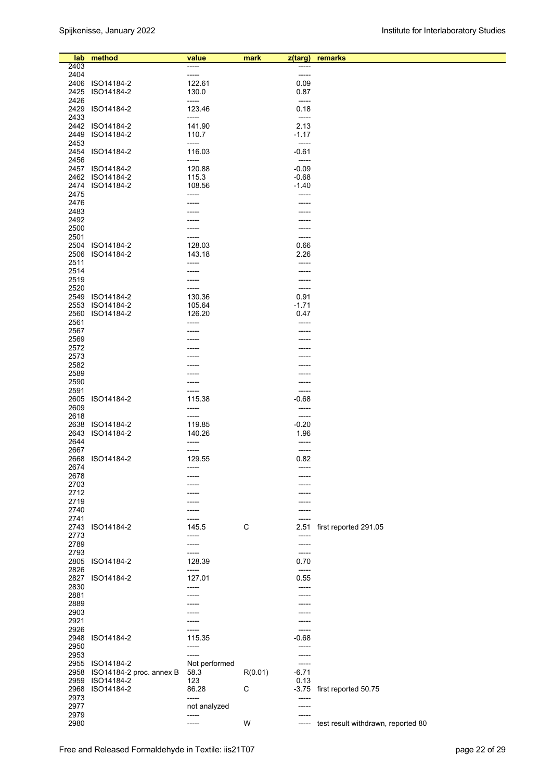| lab          | method                   | value         | mark    | z(targ) | remarks                            |
|--------------|--------------------------|---------------|---------|---------|------------------------------------|
| 2403         |                          | -----         |         | -----   |                                    |
| 2404         |                          | -----         |         | -----   |                                    |
| 2406         | ISO14184-2               | 122.61        |         | 0.09    |                                    |
| 2425         | ISO14184-2               | 130.0         |         | 0.87    |                                    |
| 2426         |                          | -----         |         | -----   |                                    |
| 2429         | ISO14184-2               | 123.46        |         | 0.18    |                                    |
| 2433         |                          | -----         |         | -----   |                                    |
| 2442         | ISO14184-2               | 141.90        |         | 2.13    |                                    |
| 2449         | ISO14184-2               | 110.7         |         | $-1.17$ |                                    |
| 2453         |                          | -----         |         | -----   |                                    |
| 2454         | ISO14184-2               | 116.03        |         | $-0.61$ |                                    |
| 2456         |                          | -----         |         | -----   |                                    |
|              | 2457 ISO14184-2          | 120.88        |         | $-0.09$ |                                    |
| 2462         | ISO14184-2               | 115.3         |         | $-0.68$ |                                    |
| 2474         | ISO14184-2               | 108.56        |         | $-1.40$ |                                    |
| 2475         |                          | -----         |         | -----   |                                    |
| 2476         |                          | -----         |         |         |                                    |
| 2483         |                          |               |         |         |                                    |
| 2492         |                          |               |         |         |                                    |
| 2500         |                          |               |         |         |                                    |
| 2501         |                          | -----         |         | -----   |                                    |
| 2504         | ISO14184-2               | 128.03        |         | 0.66    |                                    |
| 2506         | ISO14184-2               | 143.18        |         | 2.26    |                                    |
| 2511         |                          | -----         |         | -----   |                                    |
| 2514         |                          |               |         |         |                                    |
| 2519         |                          | -----         |         | -----   |                                    |
| 2520         |                          | -----         |         | -----   |                                    |
| 2549         | ISO14184-2               | 130.36        |         | 0.91    |                                    |
| 2553         | ISO14184-2               | 105.64        |         | $-1.71$ |                                    |
| 2560         | ISO14184-2               | 126.20        |         | 0.47    |                                    |
| 2561         |                          | -----         |         |         |                                    |
| 2567         |                          |               |         |         |                                    |
|              |                          |               |         |         |                                    |
| 2569         |                          |               |         |         |                                    |
| 2572         |                          |               |         |         |                                    |
| 2573         |                          |               |         |         |                                    |
| 2582         |                          |               |         |         |                                    |
| 2589         |                          |               |         |         |                                    |
| 2590         |                          |               |         |         |                                    |
| 2591         |                          |               |         | -----   |                                    |
| 2605         | ISO14184-2               | 115.38        |         | $-0.68$ |                                    |
| 2609         |                          | -----         |         | -----   |                                    |
| 2618         |                          | -----         |         | -----   |                                    |
| 2638         | ISO14184-2               | 119.85        |         | $-0.20$ |                                    |
| 2643         | ISO14184-2               | 140.26        |         | 1.96    |                                    |
| 2644         |                          | -----         |         | -----   |                                    |
| 2667         |                          | -----         |         | -----   |                                    |
| 2668         | ISO14184-2               | 129.55        |         | 0.82    |                                    |
| 2674         |                          | -----         |         | -----   |                                    |
| 2678         |                          | -----         |         |         |                                    |
| 2703         |                          |               |         |         |                                    |
| 2712         |                          |               |         |         |                                    |
| 2719         |                          |               |         |         |                                    |
| 2740         |                          |               |         |         |                                    |
| 2741<br>2743 | ISO14184-2               |               |         |         |                                    |
|              |                          | 145.5         | C       | 2.51    | first reported 291.05              |
| 2773         |                          | -----         |         | -----   |                                    |
| 2789         |                          | -----         |         | -----   |                                    |
| 2793         |                          | -----         |         | -----   |                                    |
| 2805         | ISO14184-2               | 128.39        |         | 0.70    |                                    |
| 2826         |                          | -----         |         | -----   |                                    |
| 2827         | ISO14184-2               | 127.01        |         | 0.55    |                                    |
| 2830         |                          | -----         |         | -----   |                                    |
| 2881         |                          | -----         |         | -----   |                                    |
| 2889         |                          |               |         |         |                                    |
| 2903         |                          |               |         |         |                                    |
| 2921         |                          |               |         |         |                                    |
| 2926         |                          |               |         | -----   |                                    |
| 2948         | ISO14184-2               | 115.35        |         | -0.68   |                                    |
| 2950         |                          | -----         |         | -----   |                                    |
| 2953         |                          | -----         |         | -----   |                                    |
|              | 2955 ISO14184-2          | Not performed |         | -----   |                                    |
| 2958         | ISO14184-2 proc. annex B | 58.3          | R(0.01) | $-6.71$ |                                    |
| 2959         | ISO14184-2               | 123           |         | 0.13    |                                    |
| 2968         | ISO14184-2               | 86.28         | C       |         | -3.75 first reported 50.75         |
| 2973         |                          | -----         |         |         |                                    |
| 2977         |                          | not analyzed  |         | -----   |                                    |
| 2979         |                          | -----         |         |         |                                    |
| 2980         |                          | -----         | W       | -----   | test result withdrawn, reported 80 |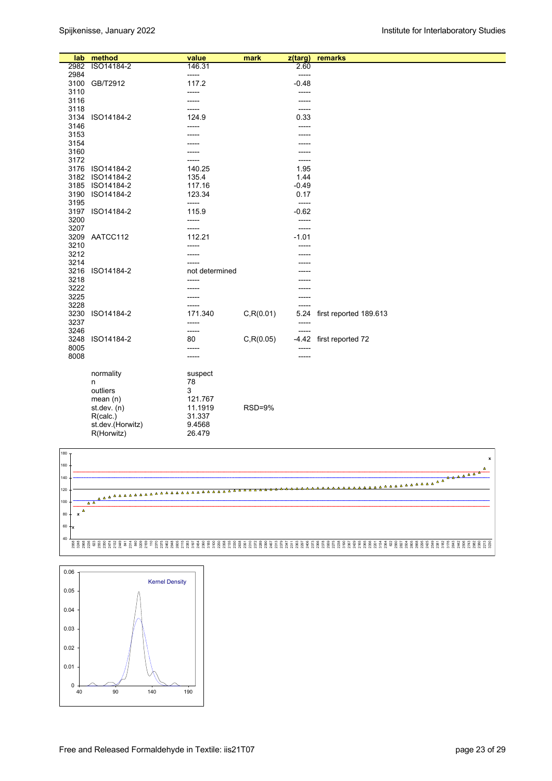| lab  | method           | value             | mark       | z(targ) | remarks                 |
|------|------------------|-------------------|------------|---------|-------------------------|
| 2982 | ISO14184-2       | 146.31            |            | 2.60    |                         |
| 2984 |                  | -----             |            | -----   |                         |
| 3100 | GB/T2912         | 117.2             |            | $-0.48$ |                         |
| 3110 |                  | -----             |            | -----   |                         |
| 3116 |                  | -----             |            | -----   |                         |
| 3118 |                  | -----             |            | -----   |                         |
| 3134 | ISO14184-2       | 124.9             |            | 0.33    |                         |
| 3146 |                  | -----             |            | -----   |                         |
| 3153 |                  | -----             |            |         |                         |
| 3154 |                  |                   |            |         |                         |
| 3160 |                  |                   |            | -----   |                         |
| 3172 |                  |                   |            | -----   |                         |
| 3176 | ISO14184-2       | 140.25            |            | 1.95    |                         |
| 3182 | ISO14184-2       | 135.4             |            | 1.44    |                         |
| 3185 | ISO14184-2       | 117.16            |            | $-0.49$ |                         |
| 3190 | ISO14184-2       | 123.34            |            | 0.17    |                         |
| 3195 |                  | -----             |            | -----   |                         |
|      | 3197 ISO14184-2  | 115.9             |            | $-0.62$ |                         |
| 3200 |                  | -----             |            | -----   |                         |
| 3207 |                  | -----             |            | -----   |                         |
|      | 3209 AATCC112    | 112.21            |            | $-1.01$ |                         |
| 3210 |                  | -----             |            | -----   |                         |
| 3212 |                  | -----             |            | -----   |                         |
| 3214 |                  | -----             |            |         |                         |
| 3216 | ISO14184-2       | not determined    |            |         |                         |
| 3218 |                  | -----             |            |         |                         |
| 3222 |                  | -----             |            |         |                         |
| 3225 |                  | -----             |            |         |                         |
| 3228 |                  | -----             |            |         |                         |
| 3230 | ISO14184-2       | 171.340           | C, R(0.01) | 5.24    | first reported 189.613  |
| 3237 |                  | -----             |            |         |                         |
| 3246 |                  | ------            |            | $--- -$ |                         |
| 3248 | ISO14184-2       | 80                | C, R(0.05) |         | -4.42 first reported 72 |
| 8005 |                  | -----             |            | -----   |                         |
| 8008 |                  | -----             |            | -----   |                         |
|      |                  |                   |            |         |                         |
|      | normality        | suspect           |            |         |                         |
|      |                  | 78                |            |         |                         |
|      | n<br>outliers    | 3                 |            |         |                         |
|      | mean $(n)$       | 121.767           |            |         |                         |
|      |                  |                   | RSD=9%     |         |                         |
|      | st.dev. $(n)$    | 11.1919<br>31.337 |            |         |                         |
|      | R(calc.)         |                   |            |         |                         |
|      | st.dev.(Horwitz) | 9.4568            |            |         |                         |
|      | R(Horwitz)       | 26.479            |            |         |                         |



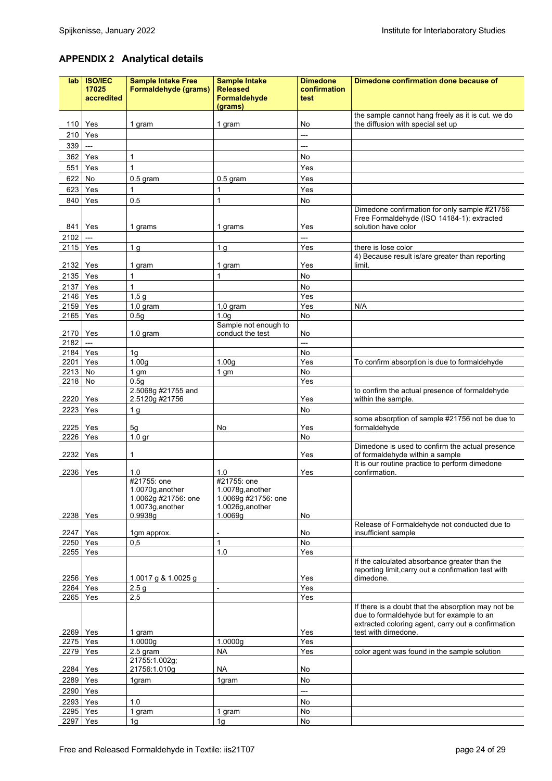# **APPENDIX 2 Analytical details**

| lab          | <b>ISO/IEC</b><br>17025<br>accredited | <b>Sample Intake Free</b><br>Formaldehyde (grams)                                            | <b>Sample Intake</b><br><b>Released</b><br>Formaldehyde<br>(grams)                           | <b>Dimedone</b><br>confirmation<br>test | Dimedone confirmation done because of                                                                                                                                        |
|--------------|---------------------------------------|----------------------------------------------------------------------------------------------|----------------------------------------------------------------------------------------------|-----------------------------------------|------------------------------------------------------------------------------------------------------------------------------------------------------------------------------|
|              |                                       |                                                                                              |                                                                                              |                                         | the sample cannot hang freely as it is cut. we do                                                                                                                            |
| 110          | Yes                                   | 1 gram                                                                                       | 1 gram                                                                                       | No                                      | the diffusion with special set up                                                                                                                                            |
| 210          | Yes                                   |                                                                                              |                                                                                              | ---                                     |                                                                                                                                                                              |
| 339          | $\overline{a}$                        |                                                                                              |                                                                                              | ---                                     |                                                                                                                                                                              |
| 362          | Yes                                   | 1                                                                                            |                                                                                              | No                                      |                                                                                                                                                                              |
| 551          | Yes                                   | $\mathbf{1}$                                                                                 |                                                                                              | Yes                                     |                                                                                                                                                                              |
| 622          | No                                    | $0.5$ gram                                                                                   | $0.5$ gram                                                                                   | Yes                                     |                                                                                                                                                                              |
| 623          | Yes                                   | $\mathbf{1}$                                                                                 | $\mathbf{1}$                                                                                 | Yes                                     |                                                                                                                                                                              |
| 840          | Yes                                   | 0.5                                                                                          | $\mathbf{1}$                                                                                 | No                                      |                                                                                                                                                                              |
| 841          | Yes                                   | 1 grams                                                                                      | 1 grams                                                                                      | Yes                                     | Dimedone confirmation for only sample #21756<br>Free Formaldehyde (ISO 14184-1): extracted<br>solution have color                                                            |
| 2102         |                                       |                                                                                              |                                                                                              | ---                                     |                                                                                                                                                                              |
| 2115         | Yes                                   | 1 <sub>g</sub>                                                                               | 1 <sub>g</sub>                                                                               | Yes                                     | there is lose color                                                                                                                                                          |
| 2132         | Yes                                   | 1 gram                                                                                       | 1 gram                                                                                       | Yes                                     | 4) Because result is/are greater than reporting<br>limit.                                                                                                                    |
| 2135         | Yes                                   | $\mathbf{1}$                                                                                 | $\mathbf{1}$                                                                                 | No                                      |                                                                                                                                                                              |
| 2137         | Yes                                   | $\overline{1}$                                                                               |                                                                                              | No                                      |                                                                                                                                                                              |
| 2146         | Yes                                   | 1,5g                                                                                         |                                                                                              | Yes                                     |                                                                                                                                                                              |
| 2159         | Yes                                   | $1,0$ gram                                                                                   | $1,0$ gram                                                                                   | Yes                                     | N/A                                                                                                                                                                          |
| 2165         | Yes                                   | 0.5q                                                                                         | 1.0 <sub>q</sub>                                                                             | No                                      |                                                                                                                                                                              |
| 2170         | Yes                                   | $1.0$ gram                                                                                   | Sample not enough to<br>conduct the test                                                     | No                                      |                                                                                                                                                                              |
| 2182         | $\overline{a}$                        |                                                                                              |                                                                                              | ---                                     |                                                                                                                                                                              |
| 2184         | Yes                                   | 1 <sub>g</sub>                                                                               |                                                                                              | No                                      |                                                                                                                                                                              |
| 2201         | Yes                                   | 1.00 <sub>g</sub>                                                                            | 1.00 <sub>g</sub>                                                                            | Yes                                     | To confirm absorption is due to formaldehyde                                                                                                                                 |
| 2213         | No                                    | 1 <sub>gm</sub>                                                                              | 1 <sub>gm</sub>                                                                              | No                                      |                                                                                                                                                                              |
| 2218         | No                                    | 0.5 <sub>g</sub><br>2.5068g #21755 and                                                       |                                                                                              | Yes                                     | to confirm the actual presence of formaldehyde                                                                                                                               |
| 2220         | Yes                                   | 2.5120g #21756                                                                               |                                                                                              | Yes                                     | within the sample.                                                                                                                                                           |
| 2223         | Yes                                   | 1 <sub>g</sub>                                                                               |                                                                                              | No                                      | some absorption of sample #21756 not be due to                                                                                                                               |
| 2225         | Yes                                   | 5g                                                                                           | No                                                                                           | Yes                                     | formaldehyde                                                                                                                                                                 |
| 2226         | Yes                                   | 1.0 <sub>gr</sub>                                                                            |                                                                                              | No                                      |                                                                                                                                                                              |
| 2232         | Yes                                   | $\mathbf 1$                                                                                  |                                                                                              | Yes                                     | Dimedone is used to confirm the actual presence<br>of formaldehyde within a sample                                                                                           |
|              |                                       |                                                                                              |                                                                                              |                                         | It is our routine practice to perform dimedone                                                                                                                               |
| 2236<br>2238 | Yes<br>Yes                            | 1.0<br>#21755: one<br>1.0070g, another<br>1.0062g #21756: one<br>1.0073g, another<br>0.9938g | 1.0<br>#21755: one<br>1.0078g, another<br>1.0069g #21756: one<br>1.0026g, another<br>1.0069g | Yes<br>No                               | confirmation.                                                                                                                                                                |
|              |                                       |                                                                                              |                                                                                              |                                         | Release of Formaldehyde not conducted due to                                                                                                                                 |
| 2247<br>2250 | Yes<br>Yes                            | 1gm approx.<br>0,5                                                                           | 1                                                                                            | No<br>No                                | insufficient sample                                                                                                                                                          |
| 2255         | Yes                                   |                                                                                              | 1.0                                                                                          | Yes                                     |                                                                                                                                                                              |
| 2256         | Yes                                   | 1.0017 g & 1.0025 g                                                                          |                                                                                              | Yes                                     | If the calculated absorbance greater than the<br>reporting limit, carry out a confirmation test with<br>dimedone.                                                            |
| 2264         | Yes                                   | 2.5 <sub>g</sub>                                                                             | $\overline{a}$                                                                               | Yes                                     |                                                                                                                                                                              |
| 2265         | Yes                                   | 2,5                                                                                          |                                                                                              | Yes                                     |                                                                                                                                                                              |
| 2269         | Yes                                   | 1 gram                                                                                       |                                                                                              | Yes                                     | If there is a doubt that the absorption may not be<br>due to formaldehyde but for example to an<br>extracted coloring agent, carry out a confirmation<br>test with dimedone. |
| 2275         | Yes                                   | 1.0000q                                                                                      | 1.0000g                                                                                      | Yes                                     |                                                                                                                                                                              |
| 2279         | Yes                                   | 2.5 gram                                                                                     | ΝA                                                                                           | Yes                                     | color agent was found in the sample solution                                                                                                                                 |
| 2284         | Yes                                   | 21755:1.002g;<br>21756:1.010g                                                                | <b>NA</b>                                                                                    | No                                      |                                                                                                                                                                              |
| 2289         | Yes                                   | 1gram                                                                                        | 1gram                                                                                        | No                                      |                                                                                                                                                                              |
| 2290         | Yes                                   |                                                                                              |                                                                                              | ---                                     |                                                                                                                                                                              |
| 2293         | Yes                                   | 1.0                                                                                          |                                                                                              | No                                      |                                                                                                                                                                              |
| 2295         | Yes                                   | 1 gram                                                                                       | 1 gram                                                                                       | No                                      |                                                                                                                                                                              |
| 2297         | Yes                                   | 1g                                                                                           | 1g                                                                                           | No                                      |                                                                                                                                                                              |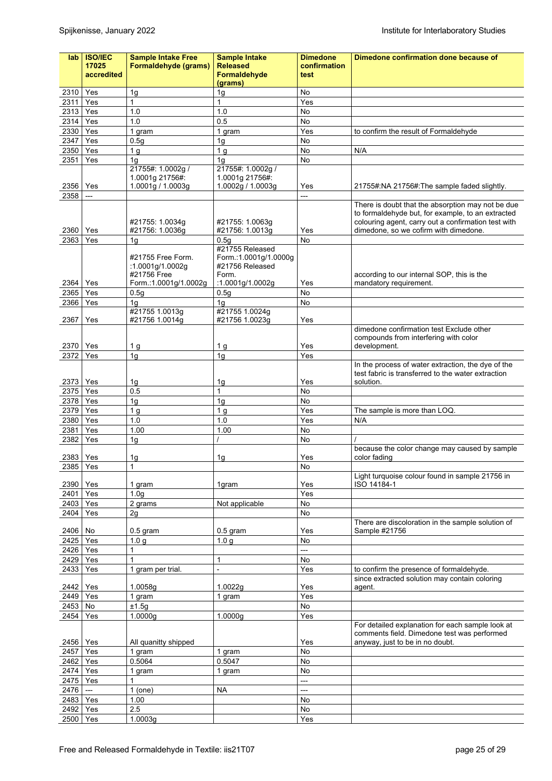| lab          | <b>ISO/IEC</b>           | <b>Sample Intake Free</b> | <b>Sample Intake</b>               | <b>Dimedone</b> | Dimedone confirmation done because of                                                                    |
|--------------|--------------------------|---------------------------|------------------------------------|-----------------|----------------------------------------------------------------------------------------------------------|
|              | 17025                    | Formaldehyde (grams)      | <b>Released</b>                    | confirmation    |                                                                                                          |
|              | accredited               |                           | Formaldehyde                       | test            |                                                                                                          |
| 2310         | Yes                      |                           | (grams)                            | No              |                                                                                                          |
| 2311         | Yes                      | 1g<br>$\mathbf{1}$        | 1g<br>$\mathbf{1}$                 | Yes             |                                                                                                          |
| 2313         | Yes                      | 1.0                       | 1.0                                | No              |                                                                                                          |
| 2314         | Yes                      | 1.0                       | 0.5                                | No              |                                                                                                          |
| 2330         | Yes                      | 1 gram                    | 1 gram                             | Yes             | to confirm the result of Formaldehyde                                                                    |
| 2347         | Yes                      | 0.5q                      | 1 <sub>g</sub>                     | No              |                                                                                                          |
| 2350         | Yes                      | 1 <sub>g</sub>            | 1 <sub>g</sub>                     | No              | N/A                                                                                                      |
| 2351         | Yes                      | 1 <sub>g</sub>            | 1 <sub>q</sub>                     | No              |                                                                                                          |
|              |                          | 21755#: 1.0002g /         | 21755#: 1.0002g /                  |                 |                                                                                                          |
|              |                          | 1.0001g 21756#:           | 1.0001g 21756#:                    |                 |                                                                                                          |
| 2356         | Yes                      | 1.0001g / 1.0003g         | 1.0002g / 1.0003g                  | Yes             | 21755#:NA 21756#:The sample faded slightly.                                                              |
| 2358         | $\overline{a}$           |                           |                                    | ---             |                                                                                                          |
|              |                          |                           |                                    |                 | There is doubt that the absorption may not be due                                                        |
|              |                          | #21755: 1.0034g           | #21755: 1.0063g                    |                 | to formaldehyde but, for example, to an extracted<br>colouring agent, carry out a confirmation test with |
| 2360         | Yes                      | #21756: 1.0036g           | #21756: 1.0013q                    | Yes             | dimedone, so we cofirm with dimedone.                                                                    |
| 2363         | Yes                      | 1 <sub>g</sub>            | 0.5 <sub>g</sub>                   | No              |                                                                                                          |
|              |                          |                           | #21755 Released                    |                 |                                                                                                          |
|              |                          | #21755 Free Form.         | Form.: 1.0001g/1.0000g             |                 |                                                                                                          |
|              |                          | :1.0001g/1.0002g          | #21756 Released                    |                 |                                                                                                          |
|              |                          | #21756 Free               | Form.                              |                 | according to our internal SOP, this is the                                                               |
| 2364         | Yes                      | Form.: 1.0001g/1.0002g    | :1.0001g/1.0002g                   | Yes             | mandatory requirement.                                                                                   |
| 2365<br>2366 | Yes<br>Yes               | 0.5g<br>1 <sub>a</sub>    | 0.5 <sub>g</sub><br>1 <sub>a</sub> | No<br>No        |                                                                                                          |
|              |                          | #21755 1.0013g            | #21755 1.0024g                     |                 |                                                                                                          |
| 2367         | Yes                      | #21756 1.0014g            | #21756 1.0023g                     | Yes             |                                                                                                          |
|              |                          |                           |                                    |                 | dimedone confirmation test Exclude other                                                                 |
|              |                          |                           |                                    |                 | compounds from interfering with color                                                                    |
| 2370 Yes     |                          | 1 g                       | 1 <sub>g</sub>                     | Yes             | development.                                                                                             |
| 2372         | Yes                      | 1 <sub>g</sub>            | 1g                                 | Yes             |                                                                                                          |
|              |                          |                           |                                    |                 | In the process of water extraction, the dye of the                                                       |
|              |                          |                           |                                    |                 | test fabric is transferred to the water extraction                                                       |
| 2373<br>2375 | Yes<br>Yes               | 1g<br>0.5                 | 1 <sub>g</sub><br>$\mathbf{1}$     | Yes<br>No       | solution.                                                                                                |
| 2378         | Yes                      | 1g                        | 1g                                 | No              |                                                                                                          |
| 2379         | Yes                      | 1 <sub>g</sub>            | 1 <sub>g</sub>                     | Yes             | The sample is more than LOQ.                                                                             |
| 2380         | Yes                      | 1.0                       | 1.0                                | Yes             | N/A                                                                                                      |
| 2381         | Yes                      | 1.00                      | 1.00                               | No              |                                                                                                          |
| 2382         | Yes                      | 1g                        |                                    | No              |                                                                                                          |
|              |                          |                           |                                    |                 | because the color change may caused by sample                                                            |
| 2383         | Yes                      | 1g                        | 1g                                 | Yes             | color fading                                                                                             |
| 2385         | Yes                      | 1                         |                                    | <b>NO</b>       |                                                                                                          |
|              |                          |                           |                                    |                 | Light turquoise colour found in sample 21756 in                                                          |
| 2390         | Yes                      | 1 gram                    | 1gram                              | Yes             | ISO 14184-1                                                                                              |
| 2401         | Yes                      | 1.0 <sub>q</sub>          |                                    | Yes             |                                                                                                          |
| 2403         | Yes                      | 2 grams                   | Not applicable                     | No              |                                                                                                          |
| 2404         | Yes                      | 2g                        |                                    | No              |                                                                                                          |
| 2406         | No                       | 0.5 <sub>gram</sub>       | $0.5$ gram                         | Yes             | There are discoloration in the sample solution of<br>Sample #21756                                       |
| 2425         | Yes                      | 1.0 <sub>q</sub>          | 1.0 <sub>g</sub>                   | No              |                                                                                                          |
| 2426         | Yes                      | 1                         |                                    | ---             |                                                                                                          |
| 2429         | Yes                      | $\mathbf{1}$              | $\mathbf{1}$                       | No              |                                                                                                          |
| 2433         | Yes                      | 1 gram per trial.         | $\overline{\phantom{0}}$           | Yes             | to confirm the presence of formaldehyde.                                                                 |
|              |                          |                           |                                    |                 | since extracted solution may contain coloring                                                            |
| 2442         | Yes                      | 1.0058g                   | 1.0022g                            | Yes             | agent.                                                                                                   |
| 2449         | Yes                      | 1 gram                    | 1 gram                             | Yes             |                                                                                                          |
| 2453         | $\mathsf{No}$            | ±1.5g                     |                                    | No              |                                                                                                          |
| 2454         | Yes                      | 1.0000g                   | 1.0000g                            | Yes             |                                                                                                          |
|              |                          |                           |                                    |                 | For detailed explanation for each sample look at                                                         |
|              |                          |                           |                                    |                 | comments field. Dimedone test was performed                                                              |
| 2456         | Yes                      | All quanitty shipped      |                                    | Yes             | anyway, just to be in no doubt.                                                                          |
| 2457<br>2462 | Yes<br>Yes               | 1 gram<br>0.5064          | 1 gram<br>0.5047                   | No<br>No        |                                                                                                          |
| 2474         | Yes                      | 1 gram                    | 1 gram                             | No              |                                                                                                          |
| 2475         | Yes                      | $\mathbf{1}$              |                                    | ---             |                                                                                                          |
| 2476         | $\overline{\phantom{a}}$ | $1$ (one)                 | <b>NA</b>                          | ---             |                                                                                                          |
| 2483         | Yes                      | 1.00                      |                                    | No              |                                                                                                          |
| 2492         | Yes                      | 2.5                       |                                    | No              |                                                                                                          |
| 2500 Yes     |                          | 1.0003g                   |                                    | Yes             |                                                                                                          |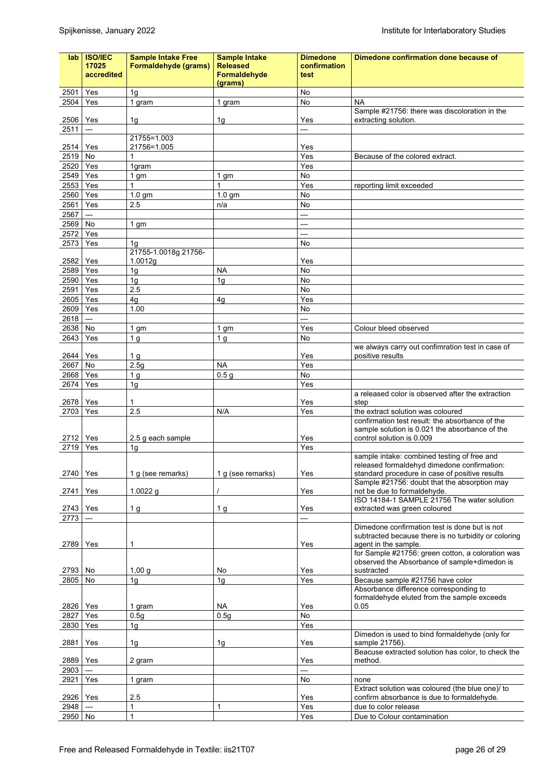| lab               | <b>ISO/IEC</b><br>17025<br>accredited | <b>Sample Intake Free</b><br>Formaldehyde (grams) | <b>Sample Intake</b><br><b>Released</b><br>Formaldehyde<br>(grams) | <b>Dimedone</b><br>confirmation<br>test | Dimedone confirmation done because of                                                                 |
|-------------------|---------------------------------------|---------------------------------------------------|--------------------------------------------------------------------|-----------------------------------------|-------------------------------------------------------------------------------------------------------|
| 2501              | Yes                                   | 1 <sub>g</sub>                                    |                                                                    | No                                      |                                                                                                       |
| 2504              | Yes                                   | 1 gram                                            | 1 gram                                                             | No                                      | <b>NA</b>                                                                                             |
|                   |                                       |                                                   |                                                                    |                                         | Sample #21756: there was discoloration in the                                                         |
| 2506              | Yes                                   | 1g                                                | 1 <sub>g</sub>                                                     | Yes                                     | extracting solution.                                                                                  |
| 2511              | $---$                                 |                                                   |                                                                    | ---                                     |                                                                                                       |
| 2514              | Yes                                   | 21755=1.003<br>21756=1.005                        |                                                                    | Yes                                     |                                                                                                       |
| 2519              | No                                    |                                                   |                                                                    | Yes                                     | Because of the colored extract.                                                                       |
| 2520              | Yes                                   | 1gram                                             |                                                                    | Yes                                     |                                                                                                       |
| 2549              | Yes                                   | 1 <sub>gm</sub>                                   | 1 gm                                                               | No                                      |                                                                                                       |
| $25\overline{53}$ | Yes                                   | 1                                                 | 1                                                                  | Yes                                     | reporting limit exceeded                                                                              |
| 2560              | Yes                                   | $1.0$ gm                                          | 1.0 <sub>gm</sub>                                                  | No                                      |                                                                                                       |
| 2561              | Yes                                   | 2.5                                               | n/a                                                                | No                                      |                                                                                                       |
| 2567              | ---                                   |                                                   |                                                                    | $\overline{a}$                          |                                                                                                       |
| 2569              | No                                    | 1 gm                                              |                                                                    | ---<br>---                              |                                                                                                       |
| 2572<br>2573      | Yes<br>Yes                            | 1q                                                |                                                                    | No                                      |                                                                                                       |
|                   |                                       | 21755-1.0018g 21756-                              |                                                                    |                                         |                                                                                                       |
| 2582              | Yes                                   | 1.0012g                                           |                                                                    | Yes                                     |                                                                                                       |
| 2589              | Yes                                   | 1g                                                | <b>NA</b>                                                          | No                                      |                                                                                                       |
| 2590              | Yes                                   | 1 <sub>g</sub>                                    | 1 <sub>g</sub>                                                     | No                                      |                                                                                                       |
| 2591              | Yes                                   | 2.5                                               |                                                                    | No                                      |                                                                                                       |
| 2605              | Yes                                   | 4g                                                | 4g                                                                 | Yes                                     |                                                                                                       |
| 2609              | Yes                                   | 1.00                                              |                                                                    | No                                      |                                                                                                       |
| 2618              | $\overline{a}$                        |                                                   |                                                                    | −−                                      |                                                                                                       |
| 2638<br>2643      | No<br>Yes                             | 1 gm<br>1 <sub>g</sub>                            | 1 <sub>gm</sub><br>1 <sub>q</sub>                                  | Yes<br>No                               | Colour bleed observed                                                                                 |
| 2644              | Yes                                   | 1 g                                               |                                                                    | Yes                                     | we always carry out confimration test in case of<br>positive results                                  |
| 2667              | <b>No</b>                             | 2.5g                                              | <b>NA</b>                                                          | Yes                                     |                                                                                                       |
| 2668              | Yes                                   | 1 <sub>g</sub>                                    | 0.5 <sub>g</sub>                                                   | No                                      |                                                                                                       |
| 2674              | Yes                                   | 1g                                                |                                                                    | Yes                                     |                                                                                                       |
|                   |                                       |                                                   |                                                                    |                                         | a released color is observed after the extraction                                                     |
| 2678              | Yes                                   | 1                                                 |                                                                    | Yes                                     | step                                                                                                  |
| 2703              | Yes                                   | 2.5                                               | N/A                                                                | Yes                                     | the extract solution was coloured<br>confirmation test result: the absorbance of the                  |
| 2712              | Yes                                   | 2.5 g each sample                                 |                                                                    | Yes                                     | sample solution is 0.021 the absorbance of the<br>control solution is 0.009                           |
| 2719              | Yes                                   | 1 <sub>g</sub>                                    |                                                                    | Yes                                     |                                                                                                       |
|                   |                                       |                                                   |                                                                    |                                         | sample intake: combined testing of free and                                                           |
| 2740              | Yes                                   | 1 g (see remarks)                                 | 1 g (see remarks)                                                  | Yes                                     | released formaldehyd dimedone confirmation:<br>standard procedure in case of positive results         |
|                   |                                       |                                                   |                                                                    |                                         | Sample #21756: doubt that the absorption may                                                          |
| 2741              | Yes                                   | 1.0022 g                                          |                                                                    | Yes                                     | not be due to formaldehyde.                                                                           |
|                   |                                       |                                                   |                                                                    |                                         | ISO 14184-1 SAMPLE 21756 The water solution                                                           |
| 2743              | Yes                                   | 1g                                                | 1 <sub>g</sub>                                                     | Yes                                     | extracted was green coloured                                                                          |
| 2773              | ---                                   |                                                   |                                                                    | ---                                     | Dimedone confirmation test is done but is not<br>subtracted because there is no turbidity or coloring |
| 2789              | Yes                                   | 1                                                 |                                                                    | Yes                                     | agent in the sample.<br>for Sample #21756: green cotton, a coloration was                             |
|                   |                                       |                                                   |                                                                    |                                         | observed the Absorbance of sample+dimedon is                                                          |
| 2793              | No                                    | 1,00 g                                            | No                                                                 | Yes                                     | sustracted                                                                                            |
| 2805              | No                                    | 1g                                                | 1g                                                                 | Yes                                     | Because sample #21756 have color                                                                      |
|                   |                                       |                                                   |                                                                    |                                         | Absorbance difference corresponding to                                                                |
| 2826              | Yes                                   | 1 gram                                            | <b>NA</b>                                                          | Yes                                     | formaldehyde eluted from the sample exceeds<br>0.05                                                   |
| 2827              | Yes                                   | 0.5g                                              | 0.5g                                                               | No                                      |                                                                                                       |
| 2830              | Yes                                   | 1g                                                |                                                                    | Yes                                     | Dimedon is used to bind formaldehyde (only for                                                        |
| 2881              | Yes                                   | 1g                                                | 1g                                                                 | Yes                                     | sample 21756).<br>Beacuse extracted solution has color, to check the                                  |
| 2889<br>2903      | Yes                                   | 2 gram                                            |                                                                    | Yes<br>$\overline{a}$                   | method.                                                                                               |
| 2921              | Yes                                   | 1 gram                                            |                                                                    | No                                      | none                                                                                                  |
|                   |                                       |                                                   |                                                                    |                                         | Extract solution was coloured (the blue one)/ to                                                      |
| 2926              | Yes                                   | 2.5                                               |                                                                    | Yes                                     | confirm absorbance is due to formaldehyde.                                                            |
| 2948              |                                       | $\mathbf{1}$                                      | $\mathbf{1}$                                                       | Yes                                     | due to color release                                                                                  |
| 2950 No           |                                       | $\mathbf{1}$                                      |                                                                    | Yes                                     | Due to Colour contamination                                                                           |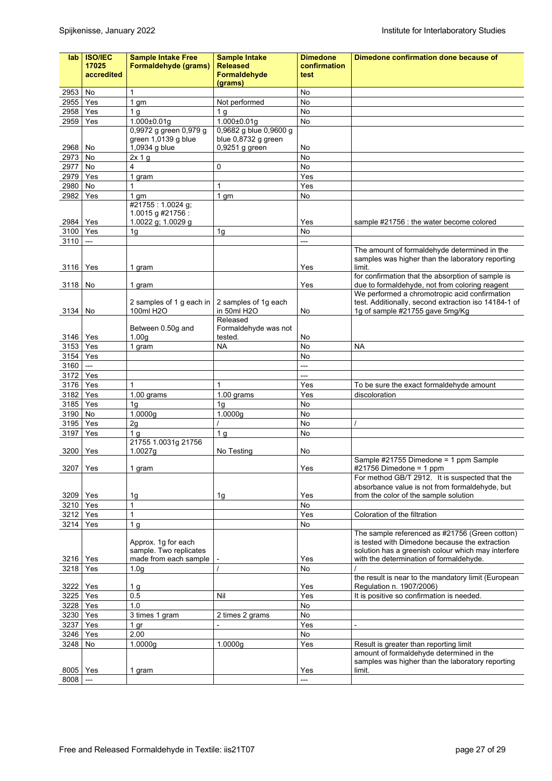| lab              | <b>ISO/IEC</b><br>17025<br>accredited | <b>Sample Intake Free</b><br>Formaldehyde (grams)               | <b>Sample Intake</b><br><b>Released</b><br><b>Formaldehvde</b> | <b>Dimedone</b><br>confirmation<br>test | Dimedone confirmation done because of                                                                                                                  |
|------------------|---------------------------------------|-----------------------------------------------------------------|----------------------------------------------------------------|-----------------------------------------|--------------------------------------------------------------------------------------------------------------------------------------------------------|
|                  |                                       |                                                                 | (grams)                                                        |                                         |                                                                                                                                                        |
| 2953             | No                                    | 1                                                               |                                                                | No                                      |                                                                                                                                                        |
| 2955             | Yes                                   | 1 gm                                                            | Not performed                                                  | No                                      |                                                                                                                                                        |
| 2958<br>2959     | Yes<br>Yes                            | 1 <sub>g</sub><br>1.000±0.01g                                   | 1 q<br>1.000±0.01g                                             | No<br>No                                |                                                                                                                                                        |
|                  |                                       | 0,9972 g green 0,979 g                                          | 0,9682 g blue 0,9600 g                                         |                                         |                                                                                                                                                        |
|                  |                                       | green 1,0139 g blue                                             | blue 0,8732 g green                                            |                                         |                                                                                                                                                        |
| 2968             | No                                    | 1,0934 g blue                                                   | 0,9251 g green                                                 | No                                      |                                                                                                                                                        |
| 2973             | No                                    | 2x 1g                                                           |                                                                | No                                      |                                                                                                                                                        |
| 2977             | No                                    | 4                                                               | 0                                                              | No                                      |                                                                                                                                                        |
| 2979             | Yes                                   | 1 gram                                                          |                                                                | Yes                                     |                                                                                                                                                        |
| 2980             | <b>No</b>                             | 1                                                               | $\mathbf{1}$                                                   | Yes                                     |                                                                                                                                                        |
| 2982             | Yes                                   | 1 <sub>gm</sub>                                                 | 1 <sub>gm</sub>                                                | No                                      |                                                                                                                                                        |
|                  |                                       | #21755: 1.0024 g;<br>1.0015 g #21756 :                          |                                                                |                                         |                                                                                                                                                        |
| 2984<br>3100     | Yes<br>Yes                            | 1.0022 g; 1.0029 g<br>1 <sub>g</sub>                            | 1 <sub>g</sub>                                                 | Yes<br>No                               | sample #21756 : the water become colored                                                                                                               |
| 3110             | $\overline{a}$                        |                                                                 |                                                                | $\overline{a}$                          |                                                                                                                                                        |
|                  |                                       |                                                                 |                                                                |                                         | The amount of formaldehyde determined in the                                                                                                           |
|                  |                                       |                                                                 |                                                                |                                         | samples was higher than the laboratory reporting                                                                                                       |
| 3116             | Yes                                   | 1 gram                                                          |                                                                | Yes                                     | limit.                                                                                                                                                 |
| 3118             | No                                    | 1 gram                                                          |                                                                | Yes                                     | for confirmation that the absorption of sample is<br>due to formaldehyde, not from coloring reagent                                                    |
| 3134             | No                                    | 2 samples of 1 g each in<br>100ml H2O                           | 2 samples of 1g each<br>in 50ml H2O                            | No                                      | We performed a chromotropic acid confirmation<br>test. Additionally, second extraction iso 14184-1 of<br>1g of sample #21755 gave 5mg/Kg               |
| 3146             | Yes                                   | Between 0.50g and<br>1.00 <sub>g</sub>                          | Released<br>Formaldehyde was not<br>tested.                    | No                                      |                                                                                                                                                        |
| 3153             | Yes                                   | 1 gram                                                          | <b>NA</b>                                                      | No                                      | <b>NA</b>                                                                                                                                              |
| 3154             | Yes                                   |                                                                 |                                                                | No                                      |                                                                                                                                                        |
| 3160             | $---$                                 |                                                                 |                                                                | ---                                     |                                                                                                                                                        |
| 3172             | Yes<br>Yes                            | $\mathbf{1}$                                                    | 1                                                              | ---                                     |                                                                                                                                                        |
| 3176<br>3182     | Yes                                   | $1.00$ grams                                                    | $1.00$ grams                                                   | Yes<br>Yes                              | To be sure the exact formaldehyde amount<br>discoloration                                                                                              |
| 3185             | Yes                                   | 1 <sub>g</sub>                                                  | 1q                                                             | No                                      |                                                                                                                                                        |
| 3190             | No                                    | 1.0000g                                                         | 1.0000g                                                        | No                                      |                                                                                                                                                        |
| 3195             | Yes                                   | 2g                                                              |                                                                | No                                      |                                                                                                                                                        |
| 3197             | Yes                                   | 1 <sub>q</sub>                                                  | 1 <sub>g</sub>                                                 | No                                      |                                                                                                                                                        |
|                  |                                       | 21755 1.0031g 21756                                             |                                                                |                                         |                                                                                                                                                        |
| 3200             | Yes                                   | 1.0027g                                                         | No Testing                                                     | No                                      |                                                                                                                                                        |
| 3207             | Yes                                   | 1 gram                                                          |                                                                | Yes                                     | Sample #21755 Dimedone = 1 ppm Sample<br>#21756 Dimedone = 1 ppm                                                                                       |
| 3209             | Yes                                   | 1g                                                              | 1g                                                             | Yes                                     | For method GB/T 2912, It is suspected that the<br>absorbance value is not from formaldehyde, but<br>from the color of the sample solution              |
| 3210             | Yes                                   | $\mathbf{1}$                                                    |                                                                | No                                      |                                                                                                                                                        |
| 3212             | Yes                                   | $\mathbf{1}$                                                    |                                                                | Yes                                     | Coloration of the filtration                                                                                                                           |
| 3214             | Yes                                   | 1 <sub>g</sub><br>Approx. 1g for each<br>sample. Two replicates |                                                                | No                                      | The sample referenced as #21756 (Green cotton)<br>is tested with Dimedone because the extraction<br>solution has a greenish colour which may interfere |
| 3216             | Yes                                   | made from each sample                                           |                                                                | Yes                                     | with the determination of formaldehyde.                                                                                                                |
| 3218             | Yes                                   | 1.0 <sub>q</sub>                                                |                                                                | No                                      |                                                                                                                                                        |
| 3222             | Yes                                   | 1 g                                                             |                                                                | Yes                                     | the result is near to the mandatory limit (European<br>Regulation n. 1907/2006)                                                                        |
| 3225             | Yes                                   | 0.5                                                             | Nil                                                            | Yes                                     | It is positive so confirmation is needed.                                                                                                              |
| 3228             | Yes                                   | 1.0                                                             |                                                                | No                                      |                                                                                                                                                        |
| 3230             | Yes                                   | 3 times 1 gram                                                  | 2 times 2 grams                                                | No                                      |                                                                                                                                                        |
| 3237             | Yes                                   | 1 <sub>gr</sub>                                                 |                                                                | Yes                                     | $\overline{a}$                                                                                                                                         |
| 3246             | Yes                                   | 2.00                                                            |                                                                | No                                      |                                                                                                                                                        |
| 3248             | No                                    | 1.0000g                                                         | 1.0000g                                                        | Yes                                     | Result is greater than reporting limit<br>amount of formaldehyde determined in the<br>samples was higher than the laboratory reporting                 |
| 8005 Yes<br>8008 | $\overline{a}$                        | 1 gram                                                          |                                                                | Yes<br>---                              | limit.                                                                                                                                                 |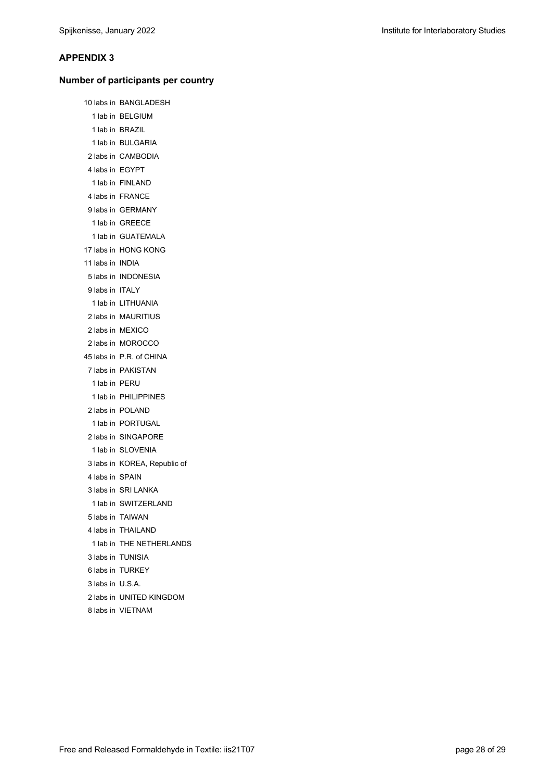#### **APPENDIX 3**

#### **Number of participants per country**

 10 labs in BANGLADESH 1 lab in BELGIUM 1 lab in BRAZIL 1 lab in BULGARIA 2 labs in CAMBODIA 4 labs in EGYPT 1 lab in FINLAND 4 labs in FRANCE 9 labs in GERMANY 1 lab in GREECE 1 lab in GUATEMALA 17 labs in HONG KONG 11 labs in INDIA 5 labs in INDONESIA 9 labs in ITALY 1 lab in LITHUANIA 2 labs in MAURITIUS 2 labs in MEXICO 2 labs in MOROCCO 45 labs in P.R. of CHINA 7 labs in PAKISTAN 1 lab in PERU 1 lab in PHILIPPINES 2 labs in POLAND 1 lab in PORTUGAL 2 labs in SINGAPORE 1 lab in SLOVENIA 3 labs in KOREA, Republic of 4 labs in SPAIN 3 labs in SRI LANKA 1 lab in SWITZERLAND 5 labs in TAIWAN 4 labs in THAILAND 1 lab in THE NETHERLANDS 3 labs in TUNISIA 6 labs in TURKEY 3 labs in U.S.A. 2 labs in UNITED KINGDOM 8 labs in VIETNAM